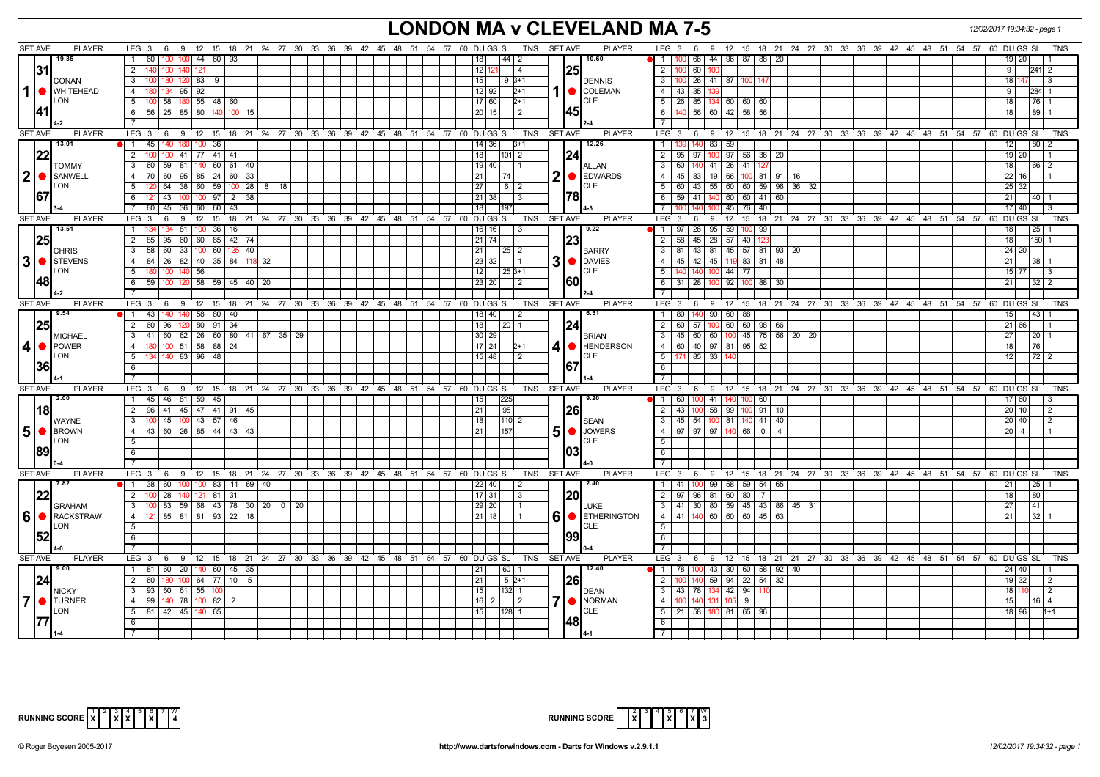## **LONDON MA v CLEVELAND MA 7-5** *12/02/2017 19:34:32 - page 1*

|                  | <b>SET AVE</b><br><b>PLAYER</b>         | LEG 3 6 9 12 15 18 21 24 27 30 33 36 39 42 45 48 51 54 57 60 DUGS SL     |                                   |             |                  |           |                             |  |  |                                           |  |                                                              | TNS SET AVE     |                |      | <b>PLAYER</b>                  | LEG 3 6 9 12 15 18 21 24 27 30 33 36 39 42 45 48 51 54 57 60 DUGS SL |                             |               |                |                                                                       |  |  |  |    |                       |                 | <b>TNS</b> |
|------------------|-----------------------------------------|--------------------------------------------------------------------------|-----------------------------------|-------------|------------------|-----------|-----------------------------|--|--|-------------------------------------------|--|--------------------------------------------------------------|-----------------|----------------|------|--------------------------------|----------------------------------------------------------------------|-----------------------------|---------------|----------------|-----------------------------------------------------------------------|--|--|--|----|-----------------------|-----------------|------------|
|                  | 19.35                                   | $1 \overline{60}$                                                        |                                   | $100$ 44 60 |                  | 93        |                             |  |  |                                           |  | 18                                                           | $44$ 2          |                |      | 10.60                          | 100 66<br>$\blacksquare$                                             | 44 96 87 88                 |               | 20             |                                                                       |  |  |  |    | 19 20                 |                 |            |
|                  |                                         | $\overline{2}$                                                           |                                   | 121         |                  |           |                             |  |  |                                           |  | 12                                                           | $\vert$ 4       |                |      |                                | $\overline{2}$<br>100 60                                             | 100                         |               |                |                                                                       |  |  |  |    | 9                     | 241 2           |            |
|                  | 31                                      | 3   100   180   120   83   9                                             |                                   |             |                  |           |                             |  |  |                                           |  | 15                                                           |                 |                | 25   |                                | 100 26 41 87 100<br>$\overline{\phantom{a}3}$                        |                             |               |                |                                                                       |  |  |  |    | 18 147                | $\overline{3}$  |            |
|                  | CONAN<br>1   WHITEHEAD                  | 4 I<br>134                                                               |                                   |             |                  |           |                             |  |  |                                           |  |                                                              | $93+1$          |                |      | <b>DENNIS</b><br>1   COLEMAN   |                                                                      | 139                         |               | 147            |                                                                       |  |  |  |    |                       |                 |            |
|                  | <b>LON</b>                              |                                                                          |                                   | 95 92       |                  |           |                             |  |  |                                           |  | $12$ 92                                                      | $2+1$           |                |      | <b>CLE</b>                     | $43 \mid 35$<br>4                                                    |                             |               |                |                                                                       |  |  |  |    | -91                   | 284 1           |            |
|                  |                                         | $5 \mid 100 \mid 58 \mid$                                                |                                   |             | 180 55 48 60     |           |                             |  |  |                                           |  | 17 60                                                        | $2+1$           |                |      |                                | 5<br>26 85 134 60 60 60                                              |                             |               |                |                                                                       |  |  |  |    | 18                    | 76 1            |            |
|                  |                                         | 6 56 25 85 80                                                            |                                   |             | 140 100 15       |           |                             |  |  |                                           |  | 20   15                                                      | l 2             |                | 45   |                                | 140 56 60 42 58 56<br>$\begin{array}{ c c } \hline \end{array}$ 6    |                             |               |                |                                                                       |  |  |  |    | 18 <sup>1</sup>       | 89 1            |            |
|                  |                                         | 7 <sup>1</sup>                                                           |                                   |             |                  |           |                             |  |  |                                           |  |                                                              |                 |                |      |                                | $\overline{7}$                                                       |                             |               |                |                                                                       |  |  |  |    |                       |                 |            |
|                  | <b>SET AVE</b><br><b>PLAYER</b>         | LEG 3 6 9 12 15 18 21 24 27 30 33 36 39 42 45 48 51 54 57 60 DUGS SL TNS |                                   |             |                  |           |                             |  |  |                                           |  |                                                              |                 | SET AVE        |      | <b>PLAYER</b>                  | LEG 3 6 9 12 15 18 21 24 27 30 33 36 39 42 45 48 51 54 57 60 DUGS SL |                             |               |                |                                                                       |  |  |  |    |                       |                 | <b>TNS</b> |
|                  | 13.01                                   | $1 \mid 45 \mid$                                                         |                                   | $100$ 36    |                  |           |                             |  |  |                                           |  | 14 36                                                        | $3+1$           |                |      | 12.26                          | $\overline{1}$                                                       | 83<br>59                    |               |                |                                                                       |  |  |  |    | 12 <sub>1</sub>       | 80 2            |            |
|                  | 122                                     | $\overline{2}$                                                           | 100                               |             | 41 77 41 41      |           |                             |  |  |                                           |  | 18                                                           | 101 2           |                | 24   |                                | $\overline{2}$<br>95   97                                            | 100 97 56 36 20             |               |                |                                                                       |  |  |  |    | 19 20                 | $\vert$ 1       |            |
|                  | <b>TOMMY</b>                            | 3   60   59   81   140   60   61   40                                    |                                   |             |                  |           |                             |  |  |                                           |  | 19   40                                                      |                 |                |      | <b>ALLAN</b>                   | $\overline{\mathbf{3}}$<br>60 140 41 26 41                           |                             |               | 127            |                                                                       |  |  |  |    | 18                    | $66$   2        |            |
| $\boldsymbol{2}$ | SANWELL                                 | $-4$                                                                     | $\overline{70}$ 60 95 85 24 60 33 |             |                  |           |                             |  |  |                                           |  | 21                                                           | 74              | 2              |      | <b>EDWARDS</b>                 | $\overline{4}$<br>$45 \mid 83$                                       | 19 66 100 81 91 16          |               |                |                                                                       |  |  |  |    | 22 16                 | $\overline{11}$ |            |
|                  | LON                                     | 5 I                                                                      |                                   |             |                  |           | 120 64 38 60 59 100 28 8 18 |  |  |                                           |  | 27                                                           | 6 2             |                |      | <b>ICLE</b>                    | 60   43   55   60   60   59   96   36   32  <br>5                    |                             |               |                |                                                                       |  |  |  |    | 25 32                 |                 |            |
|                  | 167                                     | 6 121 43 100 100 97 2 38                                                 |                                   |             |                  |           |                             |  |  |                                           |  | 21 38                                                        | -3              |                | 1781 |                                | $59$ 41 $140$ 60 60 41 60<br>6                                       |                             |               |                |                                                                       |  |  |  |    | 21                    | 40 1            |            |
|                  |                                         | 7 60 45 36 60 60                                                         |                                   |             |                  | 43        |                             |  |  |                                           |  | 18                                                           | 197             |                |      |                                | $\overline{7}$                                                       |                             | $45$ 76       | 40             |                                                                       |  |  |  |    | 17 40                 | l 3             |            |
|                  | <b>SET AVE</b><br><b>PLAYER</b>         | LEG <sub>3</sub><br>-6                                                   | 9                                 | 12          | 15               |           |                             |  |  | 18 21 24 27 30 33 36 39 42 45 48 51 54 57 |  | 60 DU GS SL                                                  | <b>TNS</b>      | <b>SET AVE</b> |      | <b>PLAYER</b>                  | LEG 3<br>- 6                                                         | 9                           | $12 \quad 15$ |                | 18  21  24  27  30  33  36  39  42  45  48  51  54  57  60  DU GS  SL |  |  |  |    |                       |                 | <b>TNS</b> |
|                  | 13.51                                   | 1   134                                                                  |                                   | 81 100 36   |                  | 16        |                             |  |  |                                           |  | 16   16                                                      | -3              |                |      | 9.22                           | $\blacksquare$<br>97 26 95 59 100                                    |                             |               | 99             |                                                                       |  |  |  |    | 18 <sup>1</sup>       | $125$   1       |            |
|                  | 25                                      | $2 \mid 85$                                                              | 95                                |             | 60 60 85 42 74   |           |                             |  |  |                                           |  | $\overline{21}$<br>$\overline{74}$                           |                 |                |      |                                | $\overline{2}$<br>$58 \mid 45$                                       | $28$ 57 40                  |               |                |                                                                       |  |  |  |    | 18                    | 150 1           |            |
|                  | <b>CHRIS</b>                            | 3   58   60                                                              |                                   |             | 33 100 60 125 40 |           |                             |  |  |                                           |  | 21                                                           | $25 \mid 2$     |                |      | <b>BARRY</b>                   | $\overline{\phantom{a}}$<br>81   43   81   45   57   81   93   20    |                             |               |                |                                                                       |  |  |  |    | 24 20                 |                 |            |
|                  | 3 <b>C</b> STEVENS                      | 4   84   26   82   40   35   84   118   32                               |                                   |             |                  |           |                             |  |  |                                           |  | 23 32                                                        | l 1             |                |      | $3  \bullet  $ DAVIES          | 45 42 45 119 83 81 48<br>$-4$                                        |                             |               |                |                                                                       |  |  |  |    | 21                    | 38   1          |            |
|                  | <b>LON</b>                              | 5 <sub>1</sub>                                                           | 100<br>140                        | 56          |                  |           |                             |  |  |                                           |  | 12                                                           | $253+1$         |                |      | <b>CLE</b>                     | $-5$                                                                 | $44$ 77<br>100 <sub>l</sub> |               |                |                                                                       |  |  |  |    | 15 77                 | $\vert$ 3       |            |
|                  | 48                                      | 6 59 100 120 58 59 45 40 20                                              |                                   |             |                  |           |                             |  |  |                                           |  | 23 20                                                        | $\sqrt{2}$      |                | 160  |                                | 6<br>$31 \mid 28$                                                    | 100 <sup>1</sup>            | 92 100        | 88 30          |                                                                       |  |  |  |    | 21                    | 3212            |            |
|                  |                                         |                                                                          |                                   |             |                  |           |                             |  |  |                                           |  |                                                              |                 |                |      |                                |                                                                      |                             |               |                |                                                                       |  |  |  |    |                       |                 |            |
|                  | <b>SET AVE</b><br><b>PLAYER</b>         | $LEG_3^6$                                                                |                                   |             |                  |           |                             |  |  |                                           |  | 9 12 15 18 21 24 27 30 33 36 39 42 45 48 51 54 57 60 DUGSSL  | <b>TNS</b>      | <b>SET AVE</b> |      | <b>PLAYER</b>                  | $LEG \quad 3 \quad 6$                                                |                             |               |                | 9 12 15 18 21 24 27 30 33 36 39 42 45 48 51 54 57 60 DUGS SL          |  |  |  |    |                       |                 | TNS        |
|                  | 9.54                                    | $1 \mid 43 \mid$                                                         |                                   | $140$ 58 80 |                  | 40        |                             |  |  |                                           |  | 18 40                                                        | $\vert$ 2       |                |      | 6.51                           | 80 140 90 60 88<br>$\overline{1}$                                    |                             |               |                |                                                                       |  |  |  |    | 15                    | 43 1            |            |
|                  | 25                                      | 2 60 96 120 80 91                                                        |                                   |             |                  | 34        |                             |  |  |                                           |  | 18                                                           | $20$ 1          |                | 24   |                                | $\overline{2}$<br>60 57                                              | $100$ 60 60 98 66           |               |                |                                                                       |  |  |  |    | 21 66                 |                 |            |
|                  | MICHAEL                                 | $3   41   60   62   26   60   80   41   67   35   29$                    |                                   |             |                  |           |                             |  |  |                                           |  | 30 29                                                        |                 |                |      | <b>BRIAN</b>                   | $\overline{\mathbf{3}}$<br>45 60 60 100 45 75 56 20 20               |                             |               |                |                                                                       |  |  |  |    | $\overline{27}$       | 20   1          |            |
| 4 <sup>1</sup>   | POWER                                   | 4                                                                        | 180 100 51 58 88 24               |             |                  |           |                             |  |  |                                           |  | 17 24                                                        | $2+1$           |                |      | 4   HENDERSON                  | 60 40 97 81 95 52<br>4                                               |                             |               |                |                                                                       |  |  |  |    | 18                    | $\overline{76}$ |            |
|                  | <b>LON</b>                              | $5$   134   140   83   96   48                                           |                                   |             |                  |           |                             |  |  |                                           |  | 15 48                                                        | $\overline{12}$ |                |      | <b>CLE</b>                     |                                                                      |                             |               |                |                                                                       |  |  |  |    | 12                    |                 |            |
|                  | 36                                      | 6                                                                        |                                   |             |                  |           |                             |  |  |                                           |  |                                                              |                 |                | 167  |                                | 6                                                                    |                             |               |                |                                                                       |  |  |  |    |                       |                 |            |
|                  |                                         |                                                                          |                                   |             |                  |           |                             |  |  |                                           |  |                                                              |                 |                |      |                                |                                                                      |                             |               |                |                                                                       |  |  |  |    |                       |                 |            |
|                  | <b>SET AVE</b><br><b>PLAYER</b>         | LEG 3 6 9 12 15 18 21 24 27 30 33 36 39 42 45 48 51 54 57 60 DUGS SL     |                                   |             |                  |           |                             |  |  |                                           |  |                                                              | TNS             | <b>SET AVE</b> |      | <b>PLAYER</b>                  | LEG 3 6 9 12 15 18 21 24 27 30 33 36 39 42 45 48 51 54 57 60 DUGS SL |                             |               |                |                                                                       |  |  |  |    |                       |                 | <b>TNS</b> |
|                  | 2.00                                    | 1   45   46   81   59   45                                               |                                   |             |                  |           |                             |  |  |                                           |  | 15                                                           |                 |                |      | 9.20                           | 60   100   41   140   100   60  <br>$\blacksquare$                   |                             |               |                |                                                                       |  |  |  |    | 17 60                 |                 |            |
|                  |                                         | $2 \mid 96 \mid$                                                         | 41                                |             | 45 47 41 91 45   |           |                             |  |  |                                           |  | $\overline{21}$                                              | 95              |                |      |                                | $\overline{2}$<br>43 100                                             | $58$ 99 1                   |               | $91$ 10        |                                                                       |  |  |  |    | 20 10                 | l 2             |            |
|                  | l18l                                    | 3 <sup>1</sup>                                                           | 100 45 100 43 57 46               |             |                  |           |                             |  |  |                                           |  | 18                                                           | $110$ 2         |                | 26   |                                | 45 54 100 81 140<br>$\overline{\phantom{a}3}$                        |                             |               | $41$ 40        |                                                                       |  |  |  |    | 20 40                 | $\overline{2}$  |            |
| 5 <sup>1</sup>   | <b>WAYNE</b><br><b>BROWN</b>            | 4 43 60 26 85 44 43 43                                                   |                                   |             |                  |           |                             |  |  |                                           |  | 21                                                           | 157             | 5 <sup>1</sup> |      | <b>SEAN</b><br><b>O</b> JOWERS | 4<br>97 97 97 140 66                                                 |                             |               | $0 \mid 4$     |                                                                       |  |  |  |    | $20 \mid 4 \mid$      |                 |            |
|                  | <b>LON</b>                              | 5                                                                        |                                   |             |                  |           |                             |  |  |                                           |  |                                                              |                 |                |      | <b>CLE</b>                     | 5                                                                    |                             |               |                |                                                                       |  |  |  |    |                       |                 |            |
|                  |                                         | 6                                                                        |                                   |             |                  |           |                             |  |  |                                           |  |                                                              |                 |                | 1031 |                                | 6                                                                    |                             |               |                |                                                                       |  |  |  |    |                       |                 |            |
|                  |                                         |                                                                          |                                   |             |                  |           |                             |  |  |                                           |  |                                                              |                 |                |      |                                | $\overline{7}$                                                       |                             |               |                |                                                                       |  |  |  |    |                       |                 |            |
|                  |                                         | 7 <sup>1</sup>                                                           |                                   |             |                  |           |                             |  |  |                                           |  |                                                              |                 |                |      |                                |                                                                      |                             |               |                |                                                                       |  |  |  |    |                       |                 |            |
|                  | <b>SET AVE</b><br><b>PLAYER</b><br>7.82 | LEG 3<br>6                                                               |                                   |             |                  |           |                             |  |  |                                           |  | 9 12 15 18 21 24 27 30 33 36 39 42 45 48 51 54 57 60 DUGSSL  | TNS             | <b>SET AVE</b> |      | <b>PLAYER</b><br>2.40          | $LEG_3$ 6                                                            |                             |               |                | 9 12 15 18 21 24 27 30 33 36 39 42 45 48 51 54 57 60 DUGS SL          |  |  |  |    |                       |                 | <b>TNS</b> |
|                  |                                         | $1 \ 38 \ 60$<br>$\overline{2}$                                          |                                   | 100 100 83  |                  | $11 \ 69$ | 40                          |  |  |                                           |  | $\sqrt{22}$ 40                                               | -2              |                |      |                                | $\overline{1}$<br>41 100 99                                          |                             | $58$ 59       | $54$ 65        |                                                                       |  |  |  | 21 |                       | $ 25 $ 1        |            |
|                  |                                         |                                                                          | 28                                | 140 121 81  |                  | 31        |                             |  |  |                                           |  | 17 31                                                        | l 3             |                | 20   |                                | $\overline{2}$<br>$97$ 96                                            | 81 60 80                    |               | $\overline{7}$ |                                                                       |  |  |  |    | 80<br>18 <sup>1</sup> |                 |            |
|                  | <b>GRAHAM</b>                           | 3 I                                                                      | 83                                |             |                  |           | 59 68 43 78 30 20 0 20      |  |  |                                           |  | 29 20                                                        |                 |                |      | LUKE                           | 3   41   30   80   59   45   43   86   45   31                       |                             |               |                |                                                                       |  |  |  |    | l 41                  |                 |            |
|                  | 6 <b>C</b> RACKSTRAW                    | 4   121   85   81   81   93   22   18                                    |                                   |             |                  |           |                             |  |  |                                           |  | $21$ 18                                                      | l 1             |                |      | 6 <b>C</b> ETHERINGTON         | 41   140   60   60   60   45   63<br>$\sqrt{4}$                      |                             |               |                |                                                                       |  |  |  | 21 |                       | $32$   1        |            |
|                  | LON                                     | $5-1$                                                                    |                                   |             |                  |           |                             |  |  |                                           |  |                                                              |                 |                |      | <b>CLE</b>                     | 5                                                                    |                             |               |                |                                                                       |  |  |  |    |                       |                 |            |
|                  |                                         | 6                                                                        |                                   |             |                  |           |                             |  |  |                                           |  |                                                              |                 |                | 1991 |                                | 6                                                                    |                             |               |                |                                                                       |  |  |  |    |                       |                 |            |
|                  | ۵-۵                                     |                                                                          |                                   |             |                  |           |                             |  |  |                                           |  |                                                              |                 |                |      |                                | $\overline{7}$                                                       |                             |               |                |                                                                       |  |  |  |    |                       |                 |            |
|                  | <b>SET AVE</b><br><b>PLAYER</b>         | LEG <sub>3</sub><br>6                                                    |                                   |             |                  |           |                             |  |  |                                           |  | 0 12 15 18 21 24 27 30 33 36 39 42 45 48 51 54 57 60 DUGS SL | TNS             | SET AVE        |      | <b>PLAYER</b>                  | $LEG \ 3 \ 6$                                                        |                             |               |                | 9 12 15 18 21 24 27 30 33 36 39 42 45 48 51 54 57 60 DUGS SL          |  |  |  |    |                       |                 | <b>TNS</b> |
|                  | 9.00                                    | 1   81   60   20   140   60   45   35                                    |                                   |             |                  |           |                             |  |  |                                           |  | 21                                                           | 60 1            |                |      | 12.40                          | 78 100 43 30 60 58 92 40<br>$\blacksquare$                           |                             |               |                |                                                                       |  |  |  |    | 24 40                 |                 |            |
|                  | 24                                      | 2   60                                                                   |                                   | 100 64 77   |                  | 10 5      |                             |  |  |                                           |  | 21                                                           | $52+1$          |                | 26   |                                | 2                                                                    | $59$   94   22              |               | 54<br>-32      |                                                                       |  |  |  |    | 19 32                 | l 2             |            |
|                  | <b>NICKY</b>                            | 3   93   60   61   55                                                    |                                   |             |                  |           |                             |  |  |                                           |  | 15                                                           | $132 - 1$       |                |      | <b>DEAN</b>                    | $\overline{\phantom{a}3}$<br>43 78                                   | 134                         | $42 \mid 94$  | 110            |                                                                       |  |  |  |    | 18                    | $\sqrt{2}$      |            |
| $\overline{7}$   | TURNER                                  | $4$ 99 140 78 100 82                                                     |                                   |             |                  |           |                             |  |  |                                           |  | 16                                                           | l 2             |                |      | 7   O NORMAN                   | $\overline{4}$<br>100 140                                            | 131                         | $105$ 9       |                |                                                                       |  |  |  |    | 15 <sup>1</sup>       | 16 I 4          |            |
|                  | <b>LON</b>                              | $5$   81   42   45   140   65                                            |                                   |             |                  |           |                             |  |  |                                           |  | 15                                                           | 128 1           |                |      | <b>CLE</b>                     | $5^{\circ}$<br>$21 \mid 58 \mid$                                     | 180 81 65 96                |               |                |                                                                       |  |  |  |    | 18 96                 | $h+1$           |            |
|                  |                                         | 6                                                                        |                                   |             |                  |           |                             |  |  |                                           |  |                                                              |                 |                |      |                                | 6                                                                    |                             |               |                |                                                                       |  |  |  |    |                       |                 |            |
|                  |                                         |                                                                          |                                   |             |                  |           |                             |  |  |                                           |  |                                                              |                 |                |      |                                |                                                                      |                             |               |                |                                                                       |  |  |  |    |                       |                 |            |



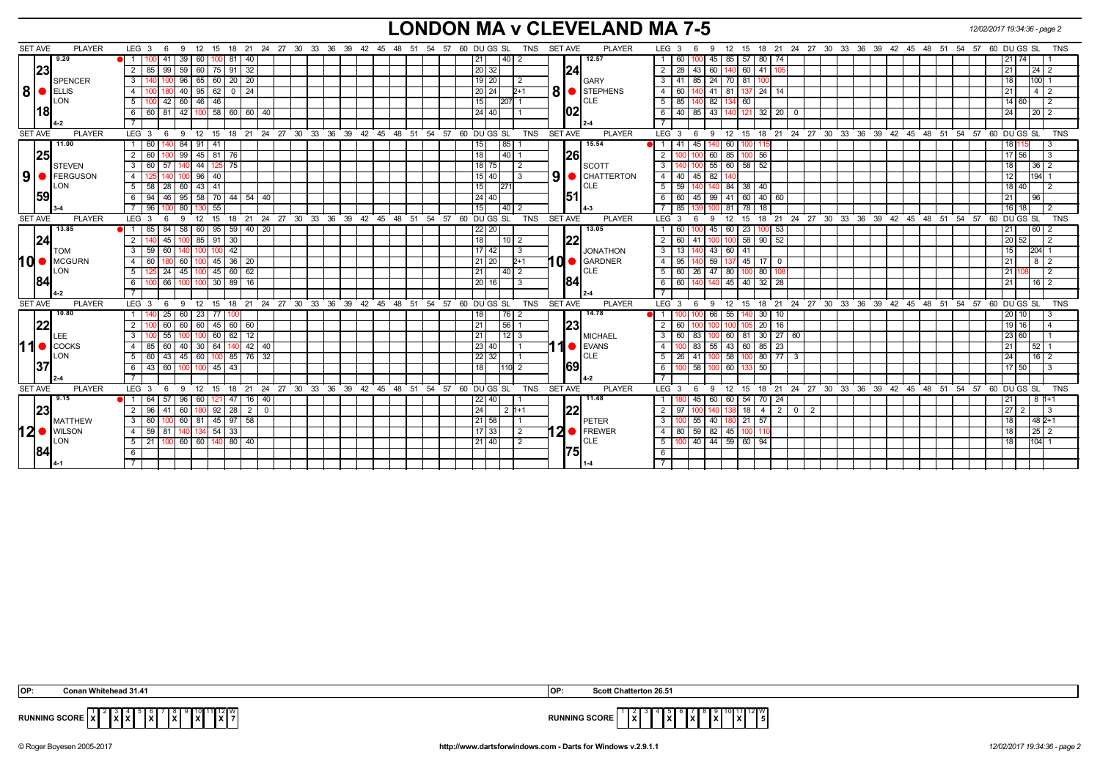## **LONDON MA v CLEVELAND MA 7-5** *12/02/2017 19:34:36 - page 2*

| <b>SET AVE</b> | <b>PLAYER</b>                | LEG 3<br>6<br>9                                                      |                 |  | 12 15 18 21 24 27 30 33 36 39 42 45 48 51 54 57 60 DUGS SL<br>TNS   | <b>SET AVE</b><br><b>PLAYER</b> | $LEG_36$<br>9 12 15 18 21 24 27 30 33 36 39 42 45 48 51 54 57 60 DUGS SL<br><b>TNS</b>            |
|----------------|------------------------------|----------------------------------------------------------------------|-----------------|--|---------------------------------------------------------------------|---------------------------------|---------------------------------------------------------------------------------------------------|
|                | 9.20                         | 60 100 81 40<br>$\bullet$ 1   100<br>41 39                           |                 |  | 21                                                                  | 12.57                           | 45 85 57 80 74<br>$\mathbf{1}$<br>60   100<br>21   74                                             |
| 23             |                              | 2   85   99   59   60   75   91   32                                 |                 |  | $\sqrt{20}$ 32                                                      | 24                              | 28 43 60 140 60 41 105<br>$\overline{2}$<br>21 <sup>1</sup>                                       |
|                | <b>SPENCER</b>               | 100 96 65 60 20 20<br>-3 I                                           |                 |  | 19 20<br>$\overline{2}$                                             | <b>GARY</b>                     | 41 85 24 70 81<br>3 I<br>18<br>100 1<br>100                                                       |
| 8 <sup>1</sup> | $\blacksquare$ ELLIS         | $95 \ 62 \ 0 \ 24$<br>$-4$<br>$-40$                                  |                 |  | 20 24<br>$P+1$                                                      | 8   STEPHENS                    | 41 81 137 24 14<br>$\overline{4}$<br>$\sqrt{4}$<br>60   140<br>21 <sup>1</sup>                    |
|                | LON                          | 42 60 46 46<br>5 I<br>100 <sup>1</sup>                               |                 |  | 15<br>$207 - 1$                                                     | <b>CLE</b>                      | 82 134 60<br>5 <sup>7</sup><br>85 140<br>14 60                                                    |
|                | 181                          | 6 6 6 7 8 1 4 2 100 58 60 60 40                                      |                 |  | 24 40                                                               | 102                             | 40   85   43   140   121   32   20   0<br>6<br> 20 2<br>241                                       |
|                | 4-2                          | $\overline{7}$                                                       |                 |  |                                                                     |                                 | $\overline{7}$                                                                                    |
| <b>SET AVE</b> | <b>PLAYER</b>                | LEG 3 6 9 12 15 18 21 24 27 30 33 36 39 42 45 48 51 54 57 60 DUGS SL |                 |  | TNS                                                                 | <b>SET AVE</b><br><b>PLAYER</b> | $LEG_3$ 6<br>9 12 15 18 21 24 27 30 33 36 39 42 45 48 51 54 57 60 DUGS SL TNS                     |
|                | 11.00                        | 1 60<br>140 84 91 41                                                 |                 |  | 85<br>15                                                            | 15.54                           | 41 45<br>$140$ 60<br>$\blacksquare$<br>115                                                        |
| 25             |                              | $2 \mid 60$<br>99<br>45 81 76                                        |                 |  | 18<br>$40$   1                                                      | <b>26</b>                       | $\overline{2}$<br>60<br>56<br>17 56<br>85                                                         |
|                | <b>STEVEN</b>                | 3   60   57<br>$140$ 44 $125$ 75                                     |                 |  | 18 75<br>$\vert$ 2                                                  | <b>SCOTT</b>                    | 55 60 58 52<br>$\overline{\mathbf{3}}$<br> 36 2<br>18 <sup>1</sup>                                |
|                | 9 FERGUSON                   | 4 125<br>$96$   40                                                   |                 |  | 15   40  <br>l 3                                                    | 9 CHATTERTON                    | 82 14<br>4<br>194 1<br>40   45<br>12 <sup>1</sup>                                                 |
|                | LON                          | 28 60<br>$43 \mid 41$<br>5   58                                      |                 |  | 15<br>271                                                           | <b>CLE</b>                      | 5 <sup>5</sup><br>40<br>59<br>140<br>$84 \mid 38$<br>18 40                                        |
| <b>159</b>     |                              | 6   94   46   95   58   70   44   54   40                            |                 |  | 24 40                                                               | 51                              | 60 45 99 41 60 40 60<br>6<br>21 <sup>1</sup><br> 96                                               |
|                |                              | 130 55<br>96<br>  80                                                 |                 |  | 15<br>$40$ 2                                                        |                                 | 85<br>18<br>$16$ 18<br>100 I<br>81<br>l 78                                                        |
| <b>SET AVE</b> | <b>PLAYER</b>                | LEG 3<br>6<br>- 9                                                    |                 |  | 12 15 18 21 24 27 30 33 36 39 42 45 48 51 54 57 60 DUGS SL<br>TNS   | <b>SET AVE</b><br><b>PLAYER</b> | 18 21 24 27 30 33 36 39 42 45 48 51 54 57 60 DUGS SL<br>LEG 3<br>$12 \quad 15$<br>TNS<br>9<br>- 6 |
|                | 13.85                        | 60   95   59   40   20<br> 1185 <br>$84$ 58                          |                 |  | 22 20                                                               | 13.05                           | 45<br>$60$   23<br>100 53<br>60<br>  60                                                           |
| 24             |                              | 45   100   85   91   30<br>$\overline{2}$                            |                 |  | 18 <br>10 <sup>2</sup>                                              | 22                              | 100 100 58 90 52<br>$\overline{2}$<br>60 I 41<br>20 52<br>l 2                                     |
|                | том                          | 3 <sup>1</sup><br>59<br>60<br>100                                    | 42              |  | $\sqrt{17}$ 42<br>l 3                                               | <b>JONATHON</b>                 | $\overline{\mathbf{3}}$<br>43 60 41<br>13<br>$204$ 1                                              |
|                | 10 MCGURN                    | 4 60 180 60<br>$100$ 45 36 20                                        |                 |  | 21 20<br>$2+1$                                                      | 10   GARDNER                    | $\overline{4}$<br>$95 \mid 140$<br>$59 \mid 137 \mid 45 \mid 17 \mid 0$<br>21 <sup>1</sup><br>812 |
|                | LON                          | 24   45  <br>$45 \ 60 \ 62$<br>5 I                                   |                 |  | $\sqrt{21}$<br>$40$   2                                             | <b>CLE</b>                      | 5<br>60   26<br>$47$ 80   1<br>80                                                                 |
| 184            |                              | 66<br>30   89<br>6<br>100                                            | 16              |  | 20<br>16<br>-3                                                      | 84                              | $45 \mid 40$<br>32<br>$6\overline{6}$<br>60 140<br>140 I<br>28<br>$16$   2<br>21 <sup>1</sup>     |
|                |                              |                                                                      |                 |  |                                                                     |                                 |                                                                                                   |
| SET AVE        | <b>PLAYER</b>                | LEG 3<br>6<br>9                                                      |                 |  | 12 15 18 21 24 27 30 33 36 39 42 45 48 51 54 57 60 DUGS SL<br>TNS   | <b>SET AVE</b><br><b>PLAYER</b> | 9 12 15 18 21 24 27 30 33 36 39 42 45 48 51 54 57 60 DU GS SL<br>$LEG \ 3 \ 6$<br><b>TNS</b>      |
|                | 10.80                        | $25 \mid 60$<br>23 77 100                                            |                 |  | 18<br>$76 \mid 2$                                                   | 14.78                           | $140$ 30 10<br>$\overline{1}$<br>$66$ 55<br>20 10                                                 |
|                |                              | 2 <sup>1</sup><br>60<br>60 45 60 60<br> 60                           |                 |  | 21<br>$56$ 1                                                        | 23                              | 20 16<br>$\overline{2}$<br>19 16<br>60   1<br>100                                                 |
|                | LEE                          | 55<br>$\mathbf{3}$<br>60                                             | $62 \mid 12$    |  | $\sqrt{21}$<br>$12 \mid 3$                                          | <b>MICHAEL</b>                  | $30 \mid 27 \mid 60$<br>$\mathbf{3}$<br>60 83<br>60   81<br>23 60<br>100 I                        |
|                | $11$ $\bullet$ $\sim$ $\sim$ | $140$ 30 64 140 42 40<br>4   85<br>60                                |                 |  | 23 40                                                               | <b>C</b> EVANS                  | 55<br>$43 \mid 60$<br>$85$ 23<br>$\overline{4}$<br>$100$ 83<br>l 52 l<br>21 <sup>1</sup>          |
|                | LON                          | $5   60   43   45   60   100   85   76   32$                         |                 |  | 22 32                                                               | <b>CLE</b>                      | $100 \t 80 \t 77 \t 3$<br>$100$ 58   1<br>5 <sup>5</sup><br>26 41<br>24<br>$\lceil 16 \rceil$ 2   |
| 37             |                              | 6   43   60   100   100   45   43                                    |                 |  | 18<br>110 2                                                         | <b>69</b>                       | 50<br>100 58<br>60<br>6<br>17 50<br>100 I                                                         |
|                |                              | 7 <sup>1</sup>                                                       |                 |  |                                                                     |                                 | $\overline{7}$                                                                                    |
| <b>SET AVE</b> | <b>PLAYER</b>                | LEG $3 \quad 6$                                                      |                 |  | 9 12 15 18 21 24 27 30 33 36 39 42 45 48 51 54 57 60 DUGS SL<br>TNS | <b>SET AVE</b><br><b>PLAYER</b> | 9 12 15 18 21 24 27 30 33 36 39 42 45 48 51 54 57 60 DUGSSL TNS<br>$LEG_36$                       |
|                | 9.15                         | $\bullet$ 1 64<br>57<br>$\sqrt{96}$<br>60                            | 47  <br>16 40   |  | 22 40                                                               | 11.48                           | 60 60 54<br>$70$ 24<br>$\mathbf{1}$<br>45<br>8  1+1                                               |
| 23             |                              | 2   96  <br>  60  <br>41                                             | $180$ 92 28 2 0 |  | 24<br>$21+1$                                                        | 22                              | 2<br>138 18<br>$4$ $2$ $0$ $2$<br>97<br>140<br>$27 \mid 2$                                        |
|                | <b>MATTHEW</b>               | 100 60 81 45 97 58<br>$3 \mid 60$                                    |                 |  | 21 58                                                               | <b>PETER</b>                    | 40 180 21 57<br>$1482+1$<br>$\mathbf{3}$<br>100 55<br>18 <sup>1</sup>                             |
|                | <b>12 • WILSON</b>           | 4 59 81<br>$134$ 54 $33$                                             |                 |  | 17 33<br>$\vert$ 2                                                  | $2 \bullet$ FREWER              | 82 45 100 110<br>4<br>80 59<br> 25 2                                                              |
|                | LON                          | $5$   21   100   60   60   140   80   40                             |                 |  | 21 40 <br>$\overline{2}$                                            | <b>CLE</b>                      | 5<br>100 40 44 59 60 94<br>18<br>$104$ 1                                                          |
|                |                              | 6                                                                    |                 |  |                                                                     | <b>1751</b>                     | 6                                                                                                 |
|                |                              |                                                                      |                 |  |                                                                     |                                 | $\overline{7}$                                                                                    |

| l v l<br>$\ddot{\phantom{1}}$<br>.<br>ж<br>8 A I<br>$\mathbf{A}$<br>$\cdots$ $\cdots$ $\cdots$ $\cdots$<br>$\mathbf{v}$<br>$\overline{\phantom{a}}$ | $\ddot{\phantom{0}}$<br>1 I R<br>`SCORL<br>ושמ<br>$\overline{\phantom{a}}$ |
|-----------------------------------------------------------------------------------------------------------------------------------------------------|----------------------------------------------------------------------------|

 **OP: Conan Whitehead 31.41 OP: Scott Chatterton 26.51**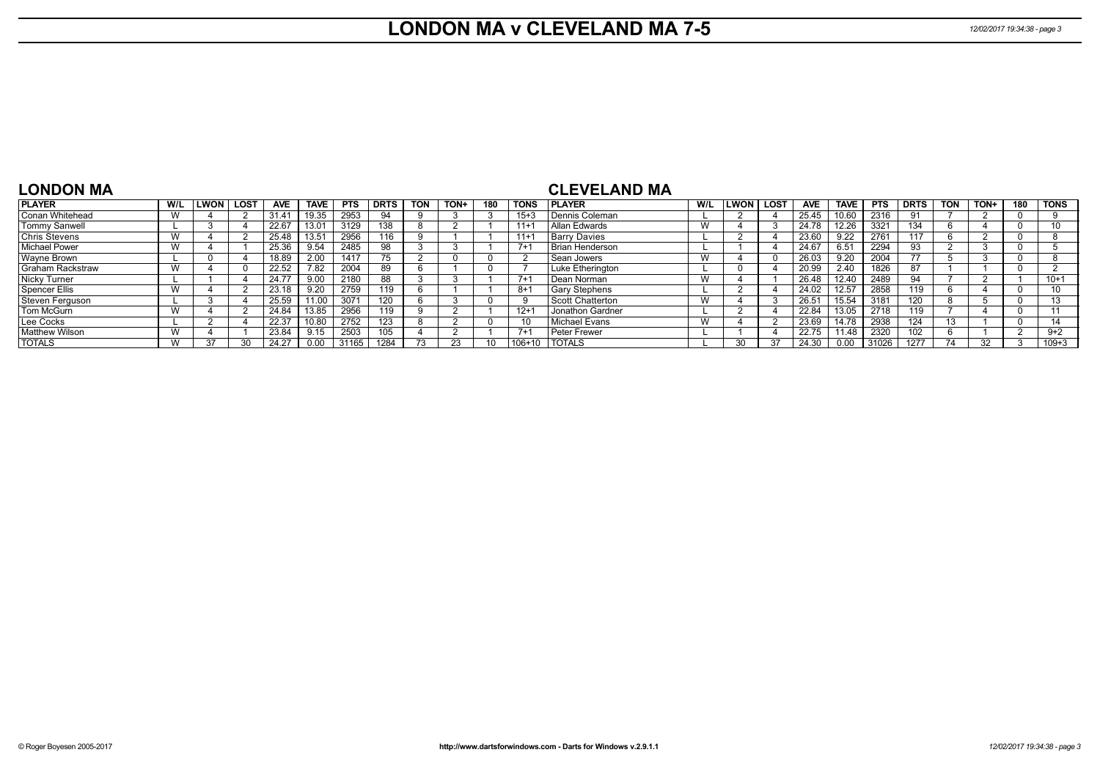# **LONDON MA v CLEVELAND MA 7-5** *12/02/2017 19:34:38 - page 3*

#### **LONDON MA**

### **CLEVELAND MA**

| <b>PLAYER</b>           | W/L        | LWON l | LOST | <b>AVE</b>     | <b>TAVE</b>    | <b>PTS</b> | <b>DRTS</b> | <b>TON</b> | TON+ | 180 | <b>TONS</b> | <b>PLAYER</b>           | W/L            | <b>LWON</b> | <b>LOST</b> | <b>AVE</b> | <b>TAVE</b>   | <b>PTS</b> | <b>DRTS</b> | <b>TON</b> | TON+ | 180 | <b>TONS</b> |
|-------------------------|------------|--------|------|----------------|----------------|------------|-------------|------------|------|-----|-------------|-------------------------|----------------|-------------|-------------|------------|---------------|------------|-------------|------------|------|-----|-------------|
| Conan Whitehead         | vv         |        |      | 31.4'          | 19.35          | 2953       | 94          |            |      |     | $15+3$      | <b>I</b> Dennis Coleman |                |             |             | 25.45      | 10.60         | 2316       | 91          |            |      |     |             |
| Tommy Sanwell           |            |        |      | 22.67          | $13.0^{\circ}$ | 3129       | 138         |            |      |     | $11 +$      | Allan Edwards           | $\overline{M}$ |             |             | 24.78      | 12.26         | 3321       | 134         |            |      |     |             |
| <b>Chris Stevens</b>    | <b>181</b> |        |      | 25.48          | $13.5^{\circ}$ | 2956       | 116         |            |      |     | $11+1$      | <b>Barry Davies</b>     |                |             |             | 23.60      | 9.22          | 2761       | 117         |            |      |     |             |
| Michael Power           | v v        |        |      | 25.36          | 9.54           | 2485       | 98          |            |      |     | $7+1$       | <b>Brian Henderson</b>  |                |             |             | 24.67      | $6.5^{\circ}$ | 2294       | 93          |            |      |     |             |
| Wayne Brown             |            |        |      | 18.89          | 2.00           | 1417       |             |            |      |     |             | l Sean Jowers           | $\mathbf{M}$   |             |             | 26.03      | 9.20          | 2004       |             |            |      |     |             |
| <b>Graham Rackstraw</b> |            |        |      | 22.52          | '.82           | 2004       | 89          |            |      |     |             | Luke Etherington        |                |             |             | 20.99      | 2.40          | 1826       | -87         |            |      |     |             |
| Nicky Turner            |            |        |      | 24.7           | 9.00           | 2180       | 88          |            |      |     | $7+1$       | l Dean Norman           | $\overline{M}$ |             |             | 26.48      | 12.40         | 2489       | 94          |            |      |     | $10+1$      |
| Spencer Ellis           | v v        |        |      | 23.18          | 9.20           | 2759       | 119         |            |      |     | -84         | <b>Gary Stephens</b>    |                |             |             | 24.02      | 12.57         | 2858       | 119         |            |      |     |             |
| Steven Ferguson         |            |        |      | 25.59          | 1.00           | 307'       | 20          |            |      |     |             | l Scott Chatterton      |                |             |             | 26.51      | 15.54         | 3181       | 120         |            |      |     | 13          |
| Tom McGurn              | <b>185</b> |        |      | 24.84          | 13.85          | 2956       | 119         |            |      |     | $12+1$      | Jonathon Gardner        |                |             |             | 22.84      | 13.05         | 2718       | 119         |            |      |     |             |
| Lee Cocks               |            |        |      | $22.3^{\circ}$ | 0.80           | 2752       | 123         |            |      |     |             | Michael Evans           |                |             |             | 23.69      | 14.78         | 2938       | 124         |            |      |     |             |
| Matthew Wilson          |            |        |      | 23.84          | 9.15           | 2503       | 105         |            |      |     | $7+$        | Peter Frewer            |                |             |             | 22.75      | 11.48         | 2320       | 102         |            |      |     | $9 + 2$     |
| <b>TOTALS</b>           |            |        |      | $24.2^{\circ}$ | 0.00           | 3116       | 1284        |            |      | 10. | 106+10      | <b>TOTALS</b>           |                |             |             | 24.30      | 0.00          | 31026      | 1277        |            | 32   |     | $109 + 3$   |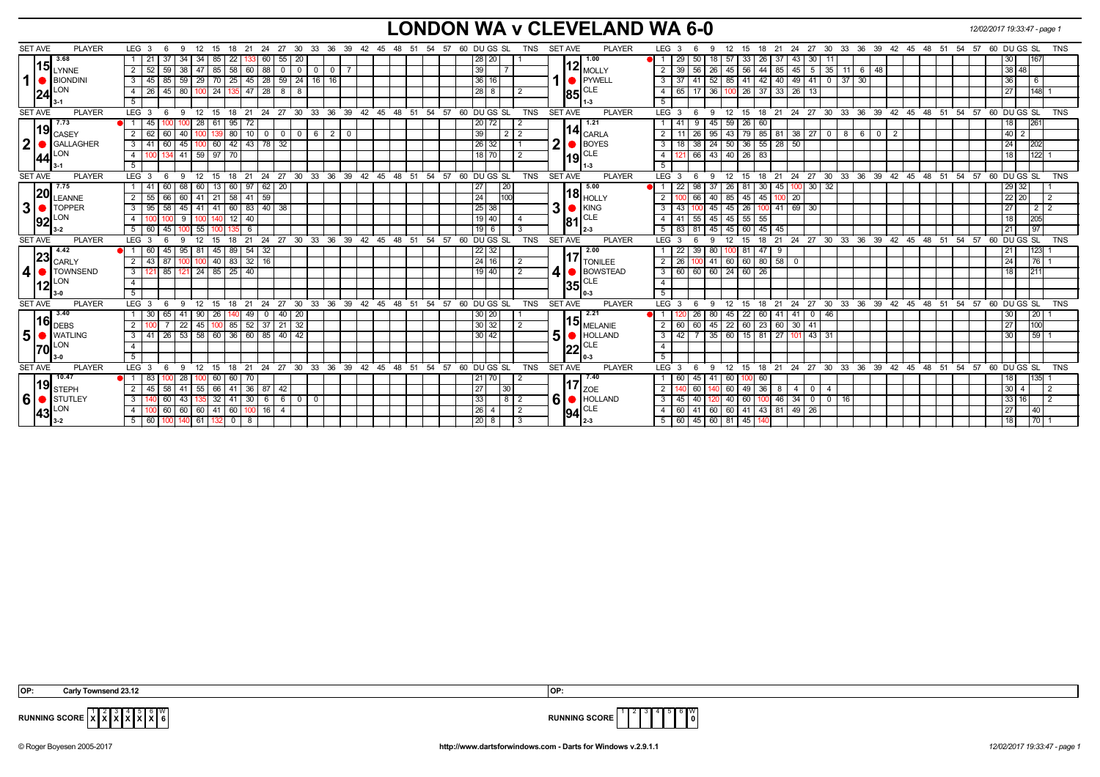## **LONDON WA v CLEVELAND WA 6-0** *12/02/2017 19:33:47 - page 1*

| <b>SET AVE</b><br><b>PLAYER</b>               | LEG 3<br>9<br>12<br>15<br>-18<br>-6                            | 24<br>- 27<br>- 21                                        | 30                                         |                |                            |          | 33 36 39 42 45 48 51 54 57 60 DUGS SL<br>TNS        | <b>SET AVE</b><br><b>PLAYER</b>           | LEG 3<br>-6                   | 9<br>12            | 21 24<br>15<br>18                                          |                                                 |                                  |                       |                |          |          | 27 30 33 36 39 42 45 48 51 54 57 60 DUGS SL |      | <b>TNS</b>      |
|-----------------------------------------------|----------------------------------------------------------------|-----------------------------------------------------------|--------------------------------------------|----------------|----------------------------|----------|-----------------------------------------------------|-------------------------------------------|-------------------------------|--------------------|------------------------------------------------------------|-------------------------------------------------|----------------------------------|-----------------------|----------------|----------|----------|---------------------------------------------|------|-----------------|
| 3.68                                          | 37<br>34<br>85<br>22<br>-21<br>34                              | 55<br>60                                                  | 20                                         |                |                            |          | 28 20                                               | 1.00                                      | 29<br>50                      | 18<br>57           | 33<br>26<br>37                                             | 30<br>43  <br>$-11$                             |                                  |                       |                |          |          | 30 <sub>1</sub>                             | 167  |                 |
| $15$ LYNNE                                    | 38 47 85 58 60 88<br>59<br>2 52                                | 0                                                         | $\overline{0}$<br>$\mathbf{0}$<br><b>0</b> |                |                            |          | 39                                                  | $12$ MOLLY                                | $\overline{2}$<br>39<br>56    |                    | 26 45 56 44 85 45 5 35                                     |                                                 | $11 \mid 6 \mid 48$              |                       |                |          |          | 38 48                                       |      |                 |
| 1<br><b>BIONDINI</b>                          | 85   59   29   70   25   45   28   59   24   16   16<br>3   45 |                                                           |                                            |                |                            |          | 36 16                                               | <b>O</b> PYWELL                           | 3<br>37   41                  |                    | 52   85   41   42   40   49   41   0   37   30             |                                                 |                                  |                       |                |          |          | 36                                          | 6    |                 |
| LON                                           | 45   80   100   24  <br>$4 \mid 26 \mid$                       | $135$ 47 28 8 8                                           |                                            |                |                            |          | $28$ 8<br>2                                         | CLE<br> 85                                | $\overline{4}$                |                    | 65   17   36   100   26   37   33   26   13                |                                                 |                                  |                       |                |          |          | 27                                          | 148  |                 |
| 24                                            | 5 <sup>1</sup>                                                 |                                                           |                                            |                |                            |          |                                                     | 11-3                                      | 5                             |                    |                                                            |                                                 |                                  |                       |                |          |          |                                             |      |                 |
| SET AVE<br><b>PLAYER</b>                      | LEG <sub>3</sub><br>12<br>$18$ 21<br>9<br>15<br>6              | 24 27                                                     | $30^{\circ}$                               | 33 36 39 42 45 | 48 51 54 57                |          | 60 DU GS SL<br><b>TNS</b>                           | <b>SET AVE</b><br><b>PLAYER</b>           | $LEG \ 3$                     | -9                 | 18 21 24 27 30 33 36 39 42 45 48 51 54 57<br>$12 \quad 15$ |                                                 |                                  |                       |                |          |          | 60 DUGS SL TNS                              |      |                 |
| 7.73                                          | 28<br>  95  <br>45<br>61                                       | 72                                                        |                                            |                |                            |          | 20 72<br>-2                                         | 1.21                                      | 41 I<br>. 9 .                 | 45                 | $59 \mid 26$<br>60                                         |                                                 |                                  |                       |                |          |          | 18                                          | 261  |                 |
| $\bm{\mathsf{119}}\vert_\mathsf{CASEY}$       | $2 \mid 62$<br>80<br>60<br>40                                  | 10 <sup>1</sup><br>$\mathbf 0$<br>$\overline{\mathbf{0}}$ | 6<br>$\sqrt{2}$<br>$\overline{0}$          | $^{\circ}$     |                            |          | 39<br>2 2                                           | $\mathbf{114}_{\mathsf{CARLA}}$           | 2<br>26                       | 95                 | $\vert 43 \vert 79$                                        | 85 81 38 27 0                                   | 6<br>8                           | 0                     | $\overline{2}$ |          |          | $\boxed{40}$ 2                              |      |                 |
| $\boldsymbol{2}$<br>GALLAGHER                 | $3 \mid 41$<br>45 100<br>60                                    | 60 42 43 78 32                                            |                                            |                |                            |          | 26 32                                               | 2<br><b>BOYES</b>                         | $\overline{3}$<br>$18$ 38     |                    | $24$ 50 36 55 28 50                                        |                                                 |                                  |                       |                |          |          | 24                                          | 202  |                 |
| LON<br> 44                                    | $141$ 59 97 70<br>$-4$   100   134                             |                                                           |                                            |                |                            |          | $18$ 70<br>$\overline{2}$                           | CLE<br>19                                 | $\overline{4}$                | 121 66 43 40 26 83 |                                                            |                                                 |                                  |                       |                |          |          | 18                                          | 122  |                 |
|                                               | 5                                                              |                                                           |                                            |                |                            |          |                                                     | $1 - 3$                                   | 5                             |                    |                                                            |                                                 |                                  |                       |                |          |          |                                             |      |                 |
| <b>SET AVE</b><br><b>PLAYER</b>               | $LEG_3$ 6<br>9<br>12<br>$18$ 21<br>15                          | 24 27 30                                                  |                                            |                | 33 36 39 42 45 48 51 54 57 |          | 60 DU GS SL<br><b>TNS</b>                           | <b>SET AVE</b><br><b>PLAYER</b>           | $LEG \ 3$<br>- 6              | 9                  | 18 21 24<br>12 15                                          |                                                 | 27 30 33 36 39 42 45 48 51 54 57 |                       |                |          |          | 60 DU GS SL                                 |      | <b>TNS</b>      |
| 7.75                                          | 60<br>$\sqrt{60}$<br>60<br>68<br>13<br>1   41                  | 97<br>$62$   20                                           |                                            |                |                            |          | 27<br>20                                            | 5.00                                      | 22 <sub>1</sub><br>98         | 37                 | 30<br>$\sqrt{26}$   81<br>45                               | $30 \mid 32$<br>100                             |                                  |                       |                |          |          | 29 32                                       |      |                 |
| $\left\vert 20\right\vert _{\textrm{LEANNE}}$ | $2 \mid 55$<br>66<br>60 41<br>$\overline{21}$<br>58 41         | 59                                                        |                                            |                |                            |          | 24<br>100                                           | $\bm{\mathsf{118}}_{\bm{\mathsf{HOLLY}}}$ | $\overline{2}$<br>66          | 40                 | 85 45<br>45 100 20                                         |                                                 |                                  |                       |                |          |          | 22 20                                       |      | $\overline{12}$ |
| 3<br>TOPPER                                   | 58<br>$3 \mid 95$<br>45 41<br>41                               | 60   83   40   38                                         |                                            |                |                            |          | 25 38                                               | 31<br>$\bullet$ KING                      | 3<br>43 100                   | 45                 | $45 \mid 26$<br>100                                        | $141 \ 69 \ 30$                                 |                                  |                       |                |          |          | 27                                          | 2 2  |                 |
| LON<br>92                                     | 4 100<br>$12 \mid 40$<br>9 100<br>140                          |                                                           |                                            |                |                            |          | 19 40                                               | CLE<br>181                                | $41$ 55<br>$\overline{a}$     | 45 45 55           | 55                                                         |                                                 |                                  |                       |                |          |          | 18                                          | 205  |                 |
|                                               | 100 55<br>$5 \mid 60$<br>45                                    | 6                                                         |                                            |                |                            |          | $19$ 6                                              | $2-3$                                     | 5<br>83 81                    | 45                 | 45<br>$45 \mid 60$<br>45                                   |                                                 |                                  |                       |                |          |          | $\overline{21}$                             | 97   |                 |
| <b>SET AVE</b><br><b>PLAYER</b>               | LEG 3<br>12<br>15<br>18<br>- 6<br>9                            | $24 \quad 27 \quad 30$<br>$^{\circ}$ 21                   |                                            |                |                            |          | 33 36 39 42 45 48 51 54 57 60 DUGS SL<br><b>TNS</b> | <b>SET AVE</b><br><b>PLAYER</b>           | $LEG \ 3$<br>- 6              | 12<br>9            | 18 21 24 27 30 33 36 39 42 45 48 51 54 57<br>15            |                                                 |                                  |                       |                |          |          | 60 DU GS SL                                 |      | <b>TNS</b>      |
| 4.42                                          | $145$ 89 54 32<br>60<br>45<br>95 81                            |                                                           |                                            |                |                            |          | $22 \mid 32$                                        | 12.00                                     | $22 \mid 39$                  | 80 100 81          | 47<br>  9                                                  |                                                 |                                  |                       |                |          |          | 21                                          | 123  |                 |
| $\left {\bf 23}\right _{\sf CARLY}$           | 2   43   87<br>100 100 40 83 32 16                             |                                                           |                                            |                |                            |          | 24 16<br>$\overline{2}$                             | <b>TONILEE</b>                            | 2<br>26 <sup>1</sup>          |                    | $100$ 41 60 60 80 58 0                                     |                                                 |                                  |                       |                |          |          | 24                                          | 76 1 |                 |
| <b>TOWNSEND</b><br>4                          | 3   121   85   121   24   85   25   40                         |                                                           |                                            |                |                            |          | $19$ 40<br>$\overline{2}$                           | 4<br><b>BOWSTEAD</b>                      | 3                             | 60 60 60 24 60 26  |                                                            |                                                 |                                  |                       |                |          |          | 18 <sup>1</sup>                             | 211  |                 |
| 12                                            | $\overline{4}$                                                 |                                                           |                                            |                |                            |          |                                                     | $35$ <sup>CLE</sup>                       | $\overline{a}$                |                    |                                                            |                                                 |                                  |                       |                |          |          |                                             |      |                 |
|                                               | 5 <sup>5</sup>                                                 |                                                           |                                            |                |                            |          |                                                     | $0-3$                                     | 5                             |                    |                                                            |                                                 |                                  |                       |                |          |          |                                             |      |                 |
| SET AVE<br><b>PLAYER</b>                      | LEG <sub>3</sub><br>-9<br>12<br>18<br>6<br>15                  | 24<br>27<br>- 21                                          | ີ 30<br>33                                 |                | 36 39 42 45 48 51          | 54<br>57 | 60 DUGS SL<br><b>TNS</b>                            | <b>SET AVE</b><br><b>PLAYER</b>           | $LEG^{\prime}$ 3<br>- 6       | 12<br>9            | $21 \quad 24$<br>18<br>15                                  | 27                                              | 30 33                            |                       |                |          |          | 36 39 42 45 48 51 54 57 60 DUGSSL           |      | <b>TNS</b>      |
| 3.40                                          | $\vert$ 30<br>65<br>$\vert$ 90<br>26<br>41                     | $140$ 20<br>49<br>$\mathbf{0}$                            |                                            |                |                            |          | 30 20                                               | 2.21                                      | 26                            | 45<br>80           | 22<br>60<br>$41$   41                                      | $\vert$ 46<br>$\mathbf 0$                       |                                  |                       |                |          |          | 30 <sub>1</sub>                             | 20   |                 |
| $\mathbf{116}\vert_\text{DEBS}$               | $22 \ 45$<br>$\overline{2}$<br>100                             | 85 52 37 21 32                                            |                                            |                |                            |          | 30 32                                               | $\bm{15}_{\textsf{MELANIE}}$              | 2<br>60<br>-60 I              | 45                 | $23 \ 60 \ 30 \ 41$<br> 22 60                              |                                                 |                                  |                       |                |          |          | 27                                          | 100  |                 |
| 5 <sup>1</sup><br><b>WATLING</b>              | 53 58<br>26<br>$3 \mid 41$                                     | 60 36 60 85 40 42                                         |                                            |                |                            |          | 30 42                                               | 5<br>$\bigcap$ HOLLAND                    | $\overline{\mathbf{3}}$<br>42 |                    | $35 \ 60 \ 15 \ 81$<br>$\frac{1}{27}$ 101                  | $43 \overline{)31}$                             |                                  |                       |                |          |          | 30                                          | 59   |                 |
| $ 70 _{.}^{\text{LON}}$                       | 4                                                              |                                                           |                                            |                |                            |          |                                                     | CLE                                       | $\overline{4}$                |                    |                                                            |                                                 |                                  |                       |                |          |          |                                             |      |                 |
|                                               | 5 <sup>1</sup>                                                 |                                                           |                                            |                |                            |          |                                                     | $0-3$                                     | $\overline{5}$                |                    |                                                            |                                                 |                                  |                       |                |          |          |                                             |      |                 |
| <b>SET AVE</b><br><b>PLAYER</b>               | LEG <sub>3</sub><br>12<br>18<br>9<br>15                        | 24<br>27<br>21                                            | 30<br>33<br>36                             | 39<br>42       | 48<br>45<br>51             | 54<br>57 | 60 DU GS SL<br><b>TNS</b>                           | <b>SET AVE</b><br><b>PLAYER</b>           | $LEG \ 3$                     | 9<br>12            | 18<br>21<br>15                                             | $^{\circ}$ 24<br>27<br>30                       | 36<br>33                         | 39<br>42 <sup>2</sup> | 45             | 48<br>51 | 54<br>57 | 60 DU GS SL                                 |      | <b>TNS</b>      |
| 10.47                                         | 83<br>28<br>  60  <br>60                                       | 70                                                        |                                            |                |                            |          | 21 70                                               | 17.40<br><u>1171</u>                      | 60 I<br>45                    | 41<br>60 l         | 60                                                         |                                                 |                                  |                       |                |          |          | 18                                          | 35   |                 |
| $\mathbf{19}_{\mathsf{STEPH}}$                | 58<br>41 55<br>66<br>$2 \mid 45 \mid$                          | $141$ 36 87<br>$\sqrt{42}$                                |                                            |                |                            |          | 27<br>30                                            | <b>ZOE</b>                                | $\overline{2}$<br>60          |                    | 36<br>$60 \mid 49$<br>8                                    | $\mathbf 0$<br>$\overline{4}$<br>$\overline{4}$ |                                  |                       |                |          |          | 30 <sup>7</sup>                             |      |                 |
| 6<br>STUTLEY                                  | 32<br> 41 30 <br>- 3 I<br>60<br>43 I                           | 6                                                         | 6000                                       |                |                            |          | 33<br>8<br>$\overline{2}$                           | 6   HOLLAND                               | 3<br>45 I<br>40               |                    | $140$ 60<br>100                                            | $46$ 34 0                                       |                                  |                       |                |          |          | 33                                          | 16 I |                 |
| _ON<br> 43                                    | 60 60 41 60 100 16 4<br>60<br>4 I                              |                                                           |                                            |                |                            |          | $\boxed{26}$ 4<br>$\overline{2}$                    | CLE<br> 94                                | 60 I 41                       | 60                 | 60   41   43   81   49   26                                |                                                 |                                  |                       |                |          |          | $\overline{27}$                             | 40 l |                 |
| $3 - 2$                                       | 140 61<br>$5 \mid 60$<br>132<br>$\sqrt{0}$ 8                   |                                                           |                                            |                |                            |          | $20$   8                                            |                                           | 5                             | 60 45 60 81 45     |                                                            |                                                 |                                  |                       |                |          |          | 18                                          | 7011 |                 |

**RUNNING SCORE**  $\begin{bmatrix} 1 & 2 & 3 & 4 & 5 & 6 \ X & X & X & X & X \end{bmatrix}$ 

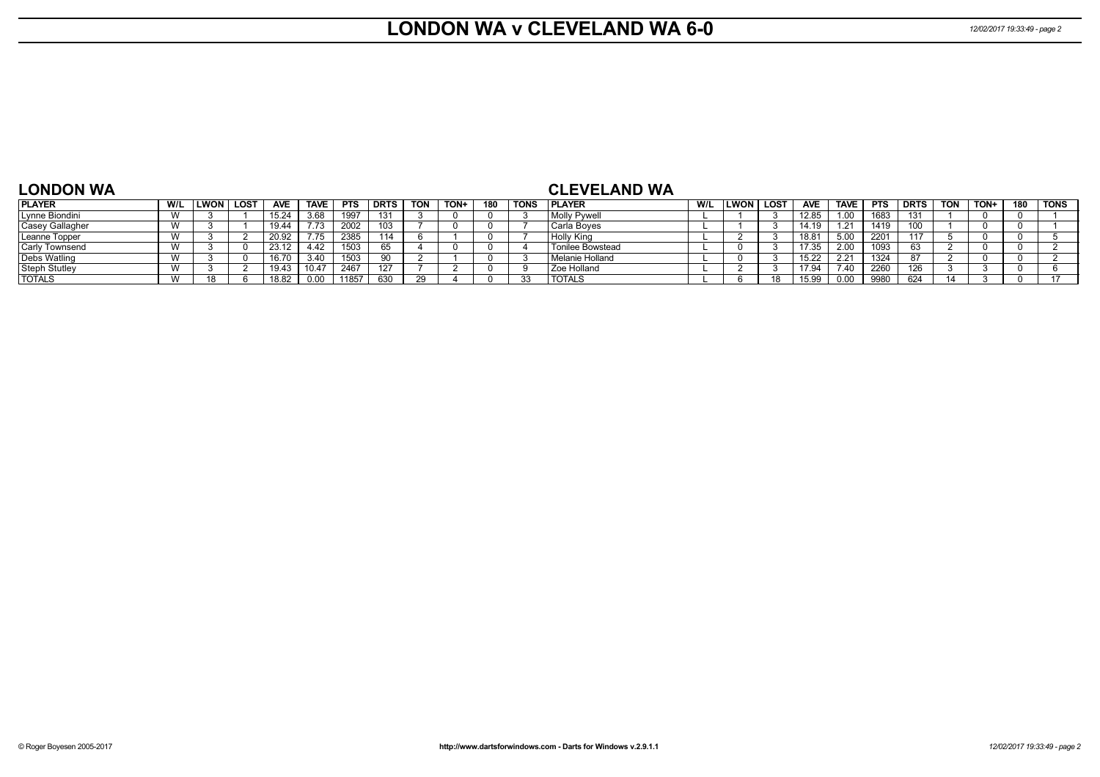# **LONDON WA v CLEVELAND WA 6-0** *12/02/2017 19:33:49 - page 2*

### **LONDON WA**

### **CLEVELAND WA**

| <b>PLAYER</b>       | W/L | LWON | LOS <sub>T</sub> | <b>AVE</b> | <b>TAVE</b> | <b>PTS</b> | <b>DRTS</b> | <b>TON</b> | TON+ | 180 | <b>TONS</b> | <b>PLAYER</b>           | W/L | LWON | <b>LOS</b> | <b>AVE</b> | <b>TAVE</b>      | <b>PTS</b> | <b>DRTS</b> | TON | <b>TON-</b> | 180 | <b>TONS</b> |
|---------------------|-----|------|------------------|------------|-------------|------------|-------------|------------|------|-----|-------------|-------------------------|-----|------|------------|------------|------------------|------------|-------------|-----|-------------|-----|-------------|
| Lynne Biondini      |     |      |                  | 15.24      | 3.68        | 1997       | 131         |            |      |     |             | Molly Pywell            |     |      |            | 12.85      | 1.00             | 1683       | 131         |     |             |     |             |
| Casey Gallagher     |     |      |                  | 19.44      | 7.73        | 2002       | 103         |            |      |     |             | Carla Boyes             |     |      |            | 14 19      | 1.21             | 1419       | 100         |     |             |     |             |
| Leanne Topper       |     |      |                  | 20.92      | 7.75        | 2385       | 14          |            |      |     |             | Holly King              |     |      |            | 18.81      | 5.00             | 2201       | 117         |     |             |     |             |
| Carly Townsend      |     |      |                  | 23.12      | 4.42        | 1503       |             |            |      |     |             | <b>Tonilee Bowstead</b> |     |      |            | .35        | 2.00             | 1093       | ხპ          |     |             |     |             |
| <b>Debs Watling</b> |     |      |                  | 16.70      | 3.40        | 1503       |             |            |      |     |             | l Melanie Holland       |     |      |            |            | 2.2 <sup>1</sup> | 1324       |             |     |             |     |             |
| Steph Stutley       |     |      |                  | 19.43      | 10.47       | 2467       | 127         |            |      |     |             | Zoe Holland             |     |      |            | 17.94      | 7.40             | 2260       | 126         |     |             |     |             |
| <b>TOTALS</b>       |     |      |                  | 18.82      | 0.00        |            | 630         |            |      |     |             | <b>TOTALS</b>           |     |      | 18         | 15.99      | 0.00             | 9980       | 624         |     |             |     |             |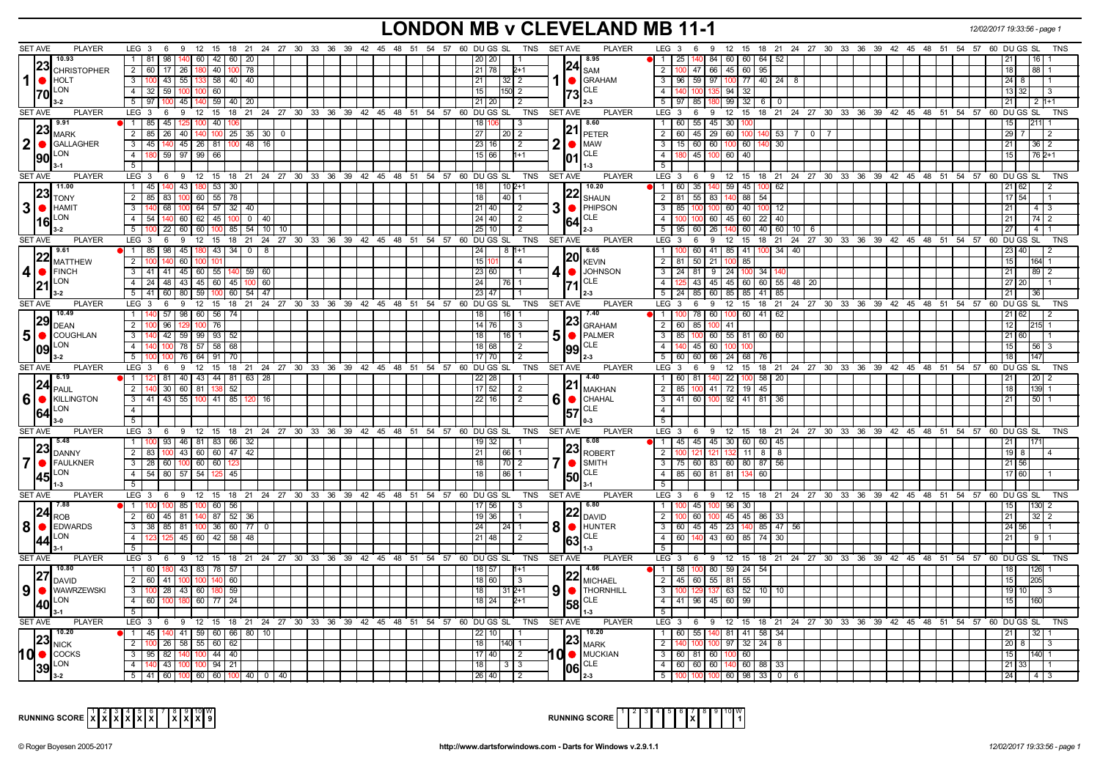## **LONDON MB v CLEVELAND MB 11-1** *12/02/2017 19:33:56 - page 1*

| <b>SET AVE</b><br><b>PLAYER</b>             | <b>PLAYER</b><br>LEG 3 6 9 12 15 18 21 24 27 30 33 36 39 42 45 48 51 54 57 60 DUGS SL TNS<br><b>SET AVE</b>                                                                                 | LEG 3 6 9 12 15 18 21 24 27 30 33 36 39 42 45 48 51 54 57 60 DU GS SL<br>TNS                                                                              |
|---------------------------------------------|---------------------------------------------------------------------------------------------------------------------------------------------------------------------------------------------|-----------------------------------------------------------------------------------------------------------------------------------------------------------|
| 10.93                                       | 1 81 98<br>140 60 42 60 20<br>20   20  <br>8.95<br> 24                                                                                                                                      | 25 140 84 60 60 64 52<br>11                                                                                                                               |
| 23 CHRISTOPHER                              | 2 60 17 26 180 40 100 78<br>21 78<br>$2+1$<br>SAM                                                                                                                                           | 100 47 66 45 60 95<br>2<br>18<br>88 I 1                                                                                                                   |
| <b>O</b> HOLT                               | 3   100   43   55   133   58   40   40<br><b>GRAHAM</b><br> 21  32  2<br>IOI                                                                                                                | $3   96   59   97   100   77   40   24   8$<br>$\vert$ 1                                                                                                  |
| $ 70 ^{LON}$                                | $ 73 $ <sup>CLE</sup><br>4 32 59 100 100 60<br>15<br>150 2                                                                                                                                  | $\overline{4}$<br>140 100 135 94 32<br>13 32<br>$\vert$ 3                                                                                                 |
| $3-2$                                       | $5 \mid 97 \mid 100 \mid 45 \mid 140 \mid 59 \mid 40 \mid 20$<br>$21$ 20<br>$\sqrt{2}$                                                                                                      | 5 <sup>7</sup><br>$99 \mid 32 \mid 6$<br>97 85 180<br>$\overline{\phantom{0}}$<br>21                                                                      |
| SET AVE<br><b>PLAYER</b>                    | $LEG_3$ 6<br>$9$ 12 15<br>18  21  24  27  30  33  36  39  42  45  48  51  54  57  60  DU GS  SL<br>TNS<br><b>SET AVE</b><br><b>PLAYER</b>                                                   | 12 15 18 21 24 27 30 33 36 39 42 45 48 51 54 57 60 DUGS SL<br>LEG 3<br>6<br>9<br><b>TNS</b>                                                               |
| 9.91                                        | 1 85 45 125 100 40<br>8.60<br>18 I1<br>  3                                                                                                                                                  | 60 55 45 30 100<br>$\mathbf{1}$<br><b>211</b><br>15                                                                                                       |
| $\left  23 \right _{\text{MARK}}$           | $21$ PETER<br>2 85 26<br>40 140<br>100<br>27<br>25 35 30 0<br>$20 \mid 2$                                                                                                                   | $\overline{2}$<br>60 45 29<br>60<br>$53 \mid 7 \mid 0$<br>100<br>$\overline{7}$<br>29                                                                     |
| 2   GALLAGHER                               | $3   45   140   45   26   81   100   48$<br>23 16<br><b>MAW</b><br>16<br>$\sqrt{2}$<br>I O                                                                                                  | 3<br>15 60 60 100 60 140<br>30 <sup>°</sup><br>21<br>$36 \mid 2$                                                                                          |
| $ 90 ^{LON}$                                | <b>CLE</b><br>4   180   59   97   99   66<br>15 66<br>$1 + 1$                                                                                                                               | $\overline{4}$<br>45 100<br>$60 \mid 40$<br>$762+1$                                                                                                       |
|                                             | $5\sqrt{2}$                                                                                                                                                                                 | $\overline{5}$                                                                                                                                            |
| <b>SET AVE</b><br><b>PLAYER</b>             | LEG 3 6 9 12 15 18 21 24 27 30 33 36 39 42 45 48 51 54 57 60 DUGS SL TNS<br>SET AVE<br><b>PLAYER</b>                                                                                        | LEG 3 6 9 12 15 18 21 24 27 30 33 36 39 42 45 48 51 54 57 60 DUGS SL<br><b>TNS</b>                                                                        |
| 11.00                                       | 1   45   140   43   180   53   30  <br>$102+1$<br>10.20<br>18 I                                                                                                                             | 60 35 140 59 45 100 62<br>$\overline{1}$<br>21   62                                                                                                       |
| $\ 23\ _{\text{TONY}}$                      | <b>22</b> SHAUN<br>2   85   83   100   60   55   78  <br>18<br>4011                                                                                                                         | 2   81   55   83   140   88   54  <br>17 54                                                                                                               |
| $3  \bullet  $ HAMIT                        | 3 • <br>$3   140   68   100   64   57   32   40$<br>$21$ 40<br>$\sqrt{2}$<br><b>PHIPSON</b>                                                                                                 | $\overline{\mathbf{3}}$<br>85 100 100 60 40 100 12<br>21<br>4 3                                                                                           |
| LON                                         | <b>CLE</b>                                                                                                                                                                                  | $-4$                                                                                                                                                      |
| 16                                          | 4   54   140   60   62   45   100   0   40<br>24 40<br>$\sqrt{2}$<br>164                                                                                                                    | 100   100   60   45   60   22   40  <br>$74$   2                                                                                                          |
|                                             | $5 \mid 100 \mid 22 \mid 60 \mid 60 \mid 100 \mid 85 \mid 54 \mid 10 \mid 10$<br>25110<br>l 2                                                                                               | $95 \mid 60 \mid 26 \mid 140 \mid 60 \mid 40 \mid 60 \mid 10 \mid 6$<br>5<br>4   1                                                                        |
| SET AVE<br><b>PLAYER</b>                    | LEG 3 6 9 12 15 18 21 24 27 30 33 36 39 42 45 48 51 54 57 60 DUGS SL TNS<br><b>PLAYER</b><br>SET AVE                                                                                        | LEG 3 6 9 12 15<br>18  21  24  27  30  33  36  39  42  45  48  51  54  57  60  DU GS  SL<br><b>TNS</b>                                                    |
| <b>19.61</b>                                | 1 85 98 45 180 43 34 0<br>24<br>6.65                                                                                                                                                        | 100 60 41 85 41 100<br>$\overline{1}$<br>$34 \mid 40$                                                                                                     |
| $\left 22\right _{\text{MATTHEW}}$          | $\left  20 \right _{\rm KEVIN}$<br>60<br>2   100<br>14 <sub>0</sub><br>10 <sup>4</sup><br>15 10<br>$\vert 4 \vert$                                                                          | $\overline{2}$<br>81 50 21 100 85<br>15 <sup>1</sup><br>164  1                                                                                            |
| 4   FINCH                                   | 3   41   41   45   60   55   140   59   60<br>23 60<br><b>JOHNSON</b><br>l 1                                                                                                                | $\overline{\mathbf{3}}$<br>24 81 9 24 100 34<br>21<br>$89$   2                                                                                            |
| 21                                          | $ 71 $ <sup>CLE</sup><br>$4$   24   48   43   45   60   45   100   60<br> 24 <br>76 1                                                                                                       | 125 43 45 45 60 60 55 48 20<br>$\overline{4}$<br>27 20                                                                                                    |
| $3 - 2$                                     | $5$   41   60   80   59   100   60   54   47<br>23 47                                                                                                                                       | 24   85   60   85   85   41   85  <br>5 <sup>5</sup><br>21                                                                                                |
| <b>SET AVE</b><br><b>PLAYER</b>             | LEG 3 6 9 12 15 18 21 24 27 30 33 36 39 42 45 48 51 54 57<br>60 DUGS SL TNS<br><b>SET AVE</b><br><b>PLAYER</b>                                                                              | 12 15<br>18 21 24 27 30 33 36 39 42 45 48 51 54 57 60 DUGS SL<br>LEG $3 \t6$<br>-9<br><b>TNS</b>                                                          |
| 10.49                                       | 1   140   57   98   60   56   74<br>16<br>7.40<br>18                                                                                                                                        | $100 \ 60 \ 41 \ 62$<br>$\overline{1}$<br>$00$ 78 60<br>$21 \ 62$                                                                                         |
| $\left 29\right _{\text{DEAN}}$             | $\left 23\right _{\text{GRAHAM}}$<br>$\overline{2}$<br>96<br>76<br>14 76                                                                                                                    | $\overline{2}$<br>41<br>60 I<br>85<br>12                                                                                                                  |
| $5$ $\circ$ COUGHLAN                        | 5<br>PALMER<br>3   140   42   59   99   93   52<br>18                                                                                                                                       | $\overline{\mathbf{3}}$<br>85 100 60 55 81 60 60<br>21.60                                                                                                 |
| $\bm{\mathsf{[09]}}^\text{\tiny{LON}}$      | <b>CLE</b><br>$100$ 78 57 58 68<br>$4 \overline{140}$<br>18 68<br>2                                                                                                                         | 140 45 60 100 100<br>$\overline{4}$<br>15<br>56 3                                                                                                         |
|                                             | $5 \mid$<br>76 64 91<br>70<br>17 70                                                                                                                                                         | 60 60 66<br>24 68                                                                                                                                         |
|                                             |                                                                                                                                                                                             |                                                                                                                                                           |
|                                             |                                                                                                                                                                                             |                                                                                                                                                           |
| SET AVE<br><b>PLAYER</b>                    | LEG 3 6<br>9 12 15 18 21 24 27 30 33 36 39 42 45 48 51 54 57 60 DUGS SL<br>TNS<br><b>SET AVE</b><br><b>PLAYER</b><br>4.40                                                                   | 6 9 12 15 18 21 24 27 30 33 36 39 42 45 48 51 54 57 60 DUGS SL<br>LEG 3<br><b>TNS</b>                                                                     |
|                                             | 1   121   81   40   43   44   81   63   28<br>22 28                                                                                                                                         | $\overline{1}$<br>60   81   140   22   100   58   20                                                                                                      |
| $\left\  24 \right\ _\text{PAUL}$           | $\bm{21}$ <sub>MAKHAN</sub><br>2<br>30 60 81 138<br>$\sqrt{52}$<br>$17$ 52<br>2                                                                                                             | $\overline{2}$<br>85 100 41 72 19 45<br>18<br><b>39I</b>                                                                                                  |
| 6   KILLINGTON                              | 6<br>3   41   43   55   100   41   85  <br><b>CHAHAL</b><br>22116<br>$\sqrt{2}$<br>16<br>$\bullet$ 1                                                                                        | 3   41   60   100   92   41   81   36<br>50 <sup>1</sup>                                                                                                  |
|                                             | <b>CLE</b><br>4<br>157                                                                                                                                                                      | $\overline{4}$                                                                                                                                            |
| $ 64 ^{LON}$<br>$3-0$                       | 5<br>$0 - 3$                                                                                                                                                                                | 5                                                                                                                                                         |
| <b>SET AVE</b><br><b>PLAYER</b>             | LEG 3 6 9 12 15 18 21 24 27 30 33 36 39 42 45 48 51 54 57 60 DUGS SL<br><b>PLAYER</b><br>TNS<br>SET AVE                                                                                     | <b>TNS</b><br>LEG <sub>3</sub><br>6 9 12 15 18 21 24 27 30 33 36 39 42 45 48 51 54 57 60 DUGS SL                                                          |
| 5.48                                        | 1   100   93   46   81   83   66   32<br>6.08<br>19   32                                                                                                                                    | 45 45 45 30 60 60 45<br>$\vert$ 1                                                                                                                         |
| $\left 23\right _{\text{DANNY}}$            | 23 <br>$2 \ 83 \ 100$<br>43 60 60 47 42<br>21<br><b>ROBERT</b><br>66 1                                                                                                                      | $\overline{2}$<br>$11 \quad 8 \quad 8$<br>$19$ 8                                                                                                          |
| 7   FAULKNER                                | $3 \mid 28 \mid 60 \mid 100 \mid 60 \mid 60$<br>SMITH<br>18<br>$70\overline{2}$<br>$\bullet$                                                                                                | $\overline{\mathbf{3}}$<br>75 60 83 60 80 87 56<br>$21 \ 56$                                                                                              |
|                                             | <b>CLE</b><br>4 54 80 57 54 125<br>86 1<br>18 I<br>45                                                                                                                                       | 85 60 81 81 134<br>$\overline{4}$<br>60<br>17 60                                                                                                          |
| $\left  45 \right $<br>$1-3$                | 5                                                                                                                                                                                           | $\overline{5}$                                                                                                                                            |
| <b>SET AVE</b><br><b>PLAYER</b>             | LEG 3 6 9 12 15 18 21 24 27 30 33 36 39 42 45 48 51 54 57 60 DUGS SL TNS<br><b>SET AVE</b><br><b>PLAYER</b>                                                                                 | LEG 3 6 9 12 15 18 21 24 27 30 33 36 39 42 45 48 51 54 57 60 DUGS SL<br><b>TNS</b>                                                                        |
| 7.88                                        | 100 85 100 60 56<br>6.80<br>1 100<br>17 56<br>3                                                                                                                                             | $100$ 45<br>$100$ 96 30<br>$\mathbf{1}$                                                                                                                   |
|                                             | 2 60 45 81 140 87 52 36<br>19 36                                                                                                                                                            | 60 100<br>45 45 86 33<br>2<br>3212                                                                                                                        |
| $\left\  \mathbf{24}\right\  _{\text{ROB}}$ | <b>22</b> DAVID<br>8<br>$3 \mid 38 \mid 85 \mid 81 \mid 100 \mid 36 \mid 60 \mid 77 \mid$<br><b>O</b> HUNTER<br>24<br>$\Omega$<br>24   1                                                    | 60 45 45 23 140 85 47 56<br>3<br>24 56                                                                                                                    |
| 8 <b>O</b> EDWARDS                          | <b>CLE</b><br>125 45 60 42 58 48<br>4<br>$21$   48<br>2                                                                                                                                     | $\overline{4}$<br>60   140   43   60   85   74   30<br>21<br>911                                                                                          |
| $\left  44 \right  ^{\text{LON}}$           | 631<br>5 <sup>5</sup>                                                                                                                                                                       | $5\overline{)}$                                                                                                                                           |
| SET AVE<br><b>PLAYER</b>                    | $LEG_3$ 6<br>9 12 15 18 21 24 27 30 33 36 39 42 45 48 51 54 57 60 DUGS SL TNS<br><b>SET AVE</b><br><b>PLAYER</b>                                                                            | LEG 3 6 9 12 15 18 21 24 27 30 33 36 39 42 45 48 51 54 57 60 DUGS SL<br><b>TNS</b>                                                                        |
| 10.80                                       | 1 60 180 43 83 78 57<br>4.66<br>$18$ 57<br>$1 + 1$                                                                                                                                          | 58 100 80 59 24 54<br>$\overline{1}$<br>18 <sup>1</sup><br>126                                                                                            |
|                                             |                                                                                                                                                                                             |                                                                                                                                                           |
| $27$ <sub>DAVID</sub>                       | $\left  22\right  _{\text{MICHAEL}}$<br>2 60 41 100 100<br>60<br>18 60<br>  3                                                                                                               | $\overline{2}$<br>45 60 55 81 55<br>15<br>100 129                                                                                                         |
| 9   WAWRZEWSKI                              | 9<br>3   100   28   43   60   180<br><b>THORNHILL</b><br>59<br>18 I<br>$312+1$<br>$\bullet$<br><b>ICLE</b>                                                                                  | $\overline{\mathbf{3}}$<br>$63$ 52 10 10<br>  137<br>19<br>15                                                                                             |
| $ 40 ^{LON}$                                | 4 60 100 180 60 77 24<br>$18$   24<br>$2+1$<br> 58                                                                                                                                          | 4 41 96 45 60 99                                                                                                                                          |
|                                             | 5 <sup>1</sup>                                                                                                                                                                              | $-5$                                                                                                                                                      |
| <b>SET AVE</b><br><b>PLAYER</b>             | $LEG \cdot 3 \cdot 6$<br>9 12 15 18 21 24 27 30 33 36 39 42 45 48 51 54 57 60 DUGSSL TNS<br><b>PLAYER</b><br><b>SET AVE</b>                                                                 | LEG $3 \div 6 \div 9$<br>$12 \quad 15$<br>18 21 24 27 30 33 36 39 42 45 48 51 54 57 60 DUGS SL<br><b>TNS</b>                                              |
| 10.20                                       | 1   45   140   41   59   60   66   80   10  <br>10.20<br>22 10                                                                                                                              | 60 55 140 81 41 58 34<br>$\overline{1}$<br>21                                                                                                             |
| $\left\  23 \right\ _{\rm NICK}$            | $\bm{23}$ MARK<br>$2 \mid 100 \mid 26 \mid 58 \mid 55 \mid 60 \mid 62 \mid$<br>18<br>140 1                                                                                                  | $\overline{2}$<br>40 100 100 97 32 24 8<br>20 8                                                                                                           |
| 10   COCKS                                  | 3   95   82   140   100   44   40<br><b>0 MUCKIAN</b><br>17 40 <br>$\overline{2}$                                                                                                           | $\overline{3}$<br>  60   81   60   100   60  <br>15<br>140 1                                                                                              |
| $ 39 ^{LON}$                                | $\left  06 \right _{\substack{2-3 \ 2-3}}^{\text{CLE}}$<br>4   140   43   100   100   94   21  <br>18 3 3<br>$5$   41   60   100   60   60   100   40   0   40  <br>26 40<br>$\overline{2}$ | 4 60 60 60 140 60 88 33<br> 21 33 <br>$\vert$ 1<br>$5 \mid 100 \mid 100 \mid 100 \mid 60 \mid 98 \mid 33 \mid 0 \mid 6 \mid$<br> 24 <br>$\vert 4 \vert 3$ |



| - 1<br>, | <b>RUNNING SCORE</b> |  | 2131 | 4 L 5 L | 16 I | -<br>l x l | - 52 | 10 I W |  |
|----------|----------------------|--|------|---------|------|------------|------|--------|--|
|          |                      |  |      |         |      |            |      |        |  |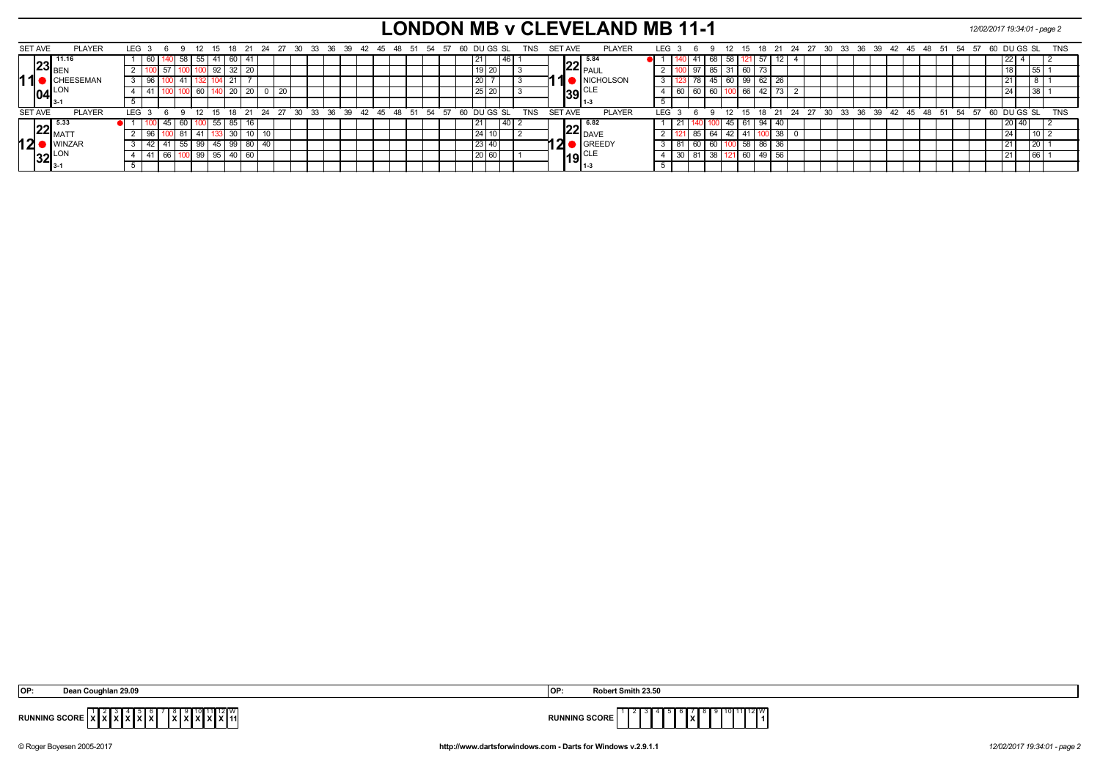# **LONDON MB v CLEVELAND MB 11-1** *12/02/2017 19:34:01 - page 2*

| <b>SET AVE</b> |                          | <b>PLAYER</b>  | LEG <sub>3</sub> |       |                   |       |       | 18       |              |    | 24 27 | - 30         | 33 36 39 42 45 48 51 54 57 60 DUGS SL |  |                |  |    |    |             | TNS        | <b>SET AVE</b> |                        | <b>PLAYER</b> |                  | LEG 3 |      | $\alpha$<br>- 6 |       | - 12         | - 18                  | 24 27 30      |                 |          |  | 33 36 39 42 45 48 51 54 |  | 57  | 60 DU GS SL |         |      | <b>TNS</b> |  |
|----------------|--------------------------|----------------|------------------|-------|-------------------|-------|-------|----------|--------------|----|-------|--------------|---------------------------------------|--|----------------|--|----|----|-------------|------------|----------------|------------------------|---------------|------------------|-------|------|-----------------|-------|--------------|-----------------------|---------------|-----------------|----------|--|-------------------------|--|-----|-------------|---------|------|------------|--|
|                | 11.16                    |                |                  | -60 I | <b>0 58 55 41</b> |       |       |          | 60   41      |    |       |              |                                       |  |                |  |    | 21 |             |            |                | $22\frac{5.84}{PAUL}$  |               |                  |       |      |                 | 68 I  | 58 I         | 57<br>12              |               |                 |          |  |                         |  |     |             |         |      |            |  |
|                | $\mathbf{23}$ BEN        |                |                  |       |                   |       | 92    | 32       | 20           |    |       |              |                                       |  |                |  |    |    | 1 ZU        |            |                |                        |               |                  |       |      |                 | 85    | $31 \mid 60$ | 73                    |               |                 |          |  |                         |  |     |             |         | l 55 |            |  |
|                |                          | CHEESEMAN      |                  | 96    | l 41              |       |       | 21       |              |    |       |              |                                       |  |                |  |    | 20 |             |            |                |                        | NICHOLSON     |                  |       |      |                 |       | $145$ 60 99  | $62 \mid 26$          |               |                 |          |  |                         |  |     |             |         |      |            |  |
|                |                          |                |                  |       |                   | -60 I |       |          | $20 \mid 20$ |    | -20   |              |                                       |  |                |  |    |    | 25 20       |            |                | $39$ <sup>CLE</sup>    |               |                  |       | 60 I |                 | 60    | 06 IC        | 73<br>42 <sub>1</sub> |               |                 |          |  |                         |  |     |             |         | 38   |            |  |
|                |                          |                |                  |       |                   |       |       |          |              |    |       |              |                                       |  |                |  |    |    |             |            |                | 11-3                   |               |                  |       |      |                 |       |              |                       |               |                 |          |  |                         |  |     |             |         |      |            |  |
| <b>SET AVE</b> |                          | <b>PLAYER</b>  | LEG :            |       |                   |       |       | 15 18 21 |              | 24 | 27    | $30^{\circ}$ | 33 36 39                              |  | 42 45 48 51 54 |  | 57 |    | 60 DU GS SL | <b>TNS</b> | <b>SET AVE</b> |                        | <b>PLAYER</b> | LEG <sup>1</sup> |       |      | ം               |       |              | $12$ 15 18 21         | $24 \quad 27$ | 30 <sup>°</sup> | 33 36 39 |  | 42 45 48 51 54          |  | -57 | 60 DU GS SL |         |      | <b>TNS</b> |  |
|                | $22_{\text{MAT}}^{5.33}$ |                |                  |       | 60 I              |       | 00155 |          | 85 16        |    |       |              |                                       |  |                |  |    | 21 |             |            |                | $22\int_{DAVE}^{6.82}$ |               |                  |       |      |                 |       | 45           | 94<br>$\overline{40}$ |               |                 |          |  |                         |  |     |             | 20 40 1 |      |            |  |
|                |                          |                |                  |       | l 81              | 41    |       | 30       |              |    |       |              |                                       |  |                |  |    | 24 |             |            |                |                        |               |                  |       |      |                 | 64    | 42           | 38                    |               |                 |          |  |                         |  |     |             |         | 110  |            |  |
| 12 I           |                          | <b>NWINZAR</b> |                  |       | 551               | -99   | 45    |          | 99 80        | 40 |       |              |                                       |  |                |  |    | 23 |             |            | . 2            | GREEDY                 |               |                  |       |      |                 | 60    | II 58.       | 36<br>86              |               |                 |          |  |                         |  |     |             |         | 20   |            |  |
|                | $32_{3.1}^{LON}$         |                |                  |       |                   | -99 I | 95    |          | 40 60        |    |       |              |                                       |  |                |  |    |    | 20 60       |            |                | $19$ <sub>1-3</sub>    |               |                  |       | 30 I |                 | -38 I | 121 60       | 56<br>49              |               |                 |          |  |                         |  |     |             |         | 66   |            |  |
|                |                          |                |                  |       |                   |       |       |          |              |    |       |              |                                       |  |                |  |    |    |             |            |                |                        |               |                  |       |      |                 |       |              |                       |               |                 |          |  |                         |  |     |             |         |      |            |  |

| OP: | ilan 29.09                                          |                      | <b>Smith 23.50</b>         |
|-----|-----------------------------------------------------|----------------------|----------------------------|
| JN  | 10 11 12 W<br>.<br>$\ X\ X\ X\ X\ X\ 11$<br>_______ | <b>OUNNING SCORE</b> | 1   1 2   VV<br>IXI<br>. . |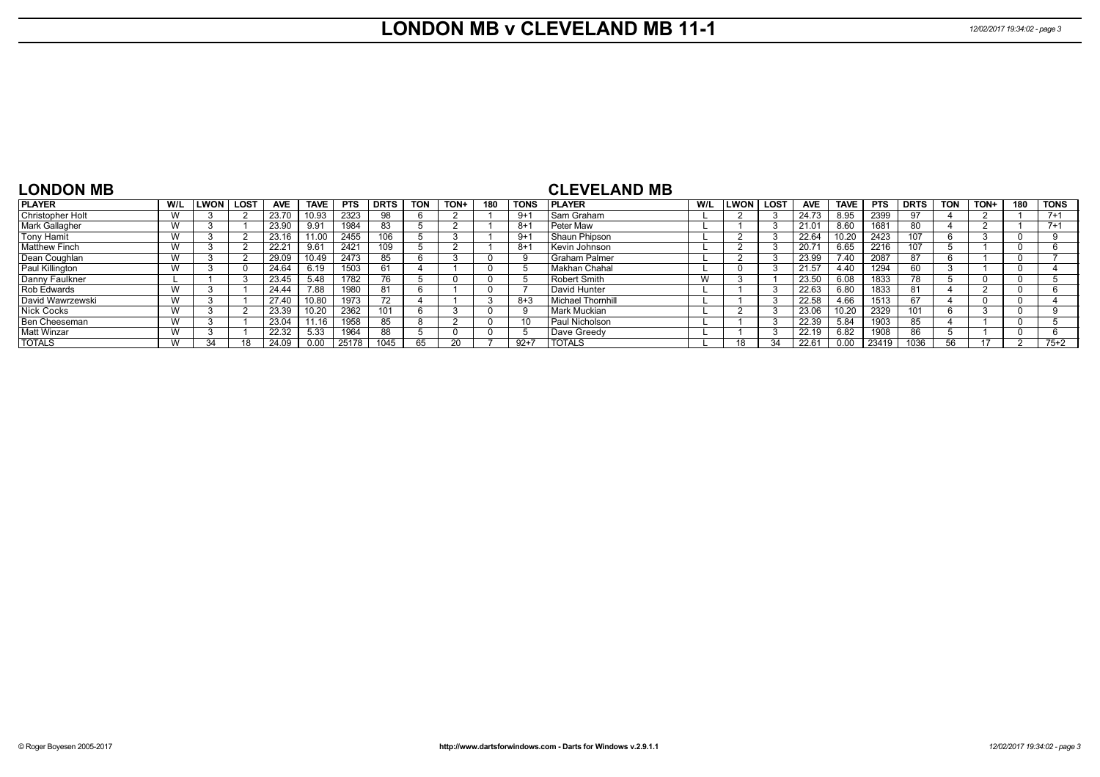# **LONDON MB v CLEVELAND MB 11-1** *12/02/2017 19:34:02 - page 3*

### **LONDON MB**

### **CLEVELAND MB**

| <b>PLAYER</b>        | W/L                   | <b>LWON</b> I | <b>LOST</b> | <b>AVE</b>     | <b>TAVE</b> | <b>PTS</b> | <b>DRTS</b> | <b>TON</b> | TON+ | 180 | TONS   | <b>IPLAYER</b>        | W/L | <b>LWON</b> | LOST | <b>AVE</b>     | TAVE  | <b>PTS</b> | <b>DRTS</b> | TON | TON+ | 180 | <b>TONS</b> |
|----------------------|-----------------------|---------------|-------------|----------------|-------------|------------|-------------|------------|------|-----|--------|-----------------------|-----|-------------|------|----------------|-------|------------|-------------|-----|------|-----|-------------|
| Christopher Holt     | vv                    |               |             | 23.70          | 10.93       | 2323       |             |            |      |     | $9+1$  | Sam Graham            |     |             |      | $24.7^{\circ}$ | 8.95  | 2399       | 97          |     |      |     | $7 + 1$     |
| Mark Gallagher       | $\lambda$<br>v v      |               |             | 23.90          | 9.91        | 1984       | 83          |            |      |     | 8+1    | Peter Maw             |     |             |      | 21.01          | 8.60  | 1681       | 80          |     |      |     | $7 + 1$     |
| <b>Tony Hamit</b>    | <b>VV</b>             |               |             | 23.16          | 11.00       | 2455       | 106         |            |      |     | -9+    | Shaun Phipson         |     |             |      | 22.64          | 10.20 | 2423       | 107         |     |      |     |             |
| <b>Matthew Finch</b> |                       |               |             | $22.2^{\circ}$ | 9.61        | 2421       | 109         |            |      |     | 8+1    | Kevin Johnson         |     |             |      | 20.7           | 6.65  | 2216       | 107         |     |      |     |             |
| Dean Coughlan        | $\mathbf{M}$<br>v v   |               |             | 29.09          | 0.49        | 2473       | 85          |            |      |     |        | <b>Graham Palmer</b>  |     |             |      | 23.99          | 7.40  | 2087       | 87          |     |      |     |             |
| Paul Killington      |                       |               |             | 24.64          | 6.19        | 1503       | 61.         |            |      |     |        | Makhan Chahal         |     |             |      | 21.57          | 4.40  | 1294       | 60          |     |      |     |             |
| Danny Faulkner       |                       |               |             | 23.45          | 5.48        | 1782       |             |            |      |     |        | Robert Smith          | W   |             |      | 23.50          | 6.08  | 1833       |             |     |      |     |             |
| Rob Edwards          | $\overline{M}$<br>v v |               |             | 24.44          | 7.88        | 1980       | 81          |            |      |     |        | David Hunter          |     |             |      | 22.63          | 6.80  | 1833       | 81          |     |      |     |             |
| David Wawrzewski     |                       |               |             | 27.40          | 10.80       | 1973       |             |            |      |     | 8+3    | Michael Thornhill     |     |             |      | 22.58          | 4.66  | 1513       | 67          |     |      |     |             |
| Nick Cocks           | v v                   |               |             | 23.39          | 0.20        | 2362       | 101         |            |      |     |        | Mark Muckian          |     |             |      | 23.06          | 10.20 | 2329       | 101         |     |      |     |             |
| Ben Cheeseman        | <b>VV</b>             |               |             | 23.04          | . 16        | 1958       | 85          |            |      |     |        | <b>Paul Nicholson</b> |     |             |      | 22.39          | 5.84  | 1903       | 85          |     |      |     |             |
| Matt Winzar          | $\lambda$             |               |             | 22.32          | 5.33        | 1964       | 88          |            |      |     |        | Dave Greedy           |     |             |      | 22.19          | 6.82  | 1908       | 86          |     |      |     |             |
| <b>TOTALS</b>        |                       |               |             | 24.09          | 0.00        | 25178      | 1045        |            |      |     | $92+7$ | <b>TOTALS</b>         |     |             | .34  | 22.61          | 0.00  | 23419      | 1036        | 56  |      |     | 75+2        |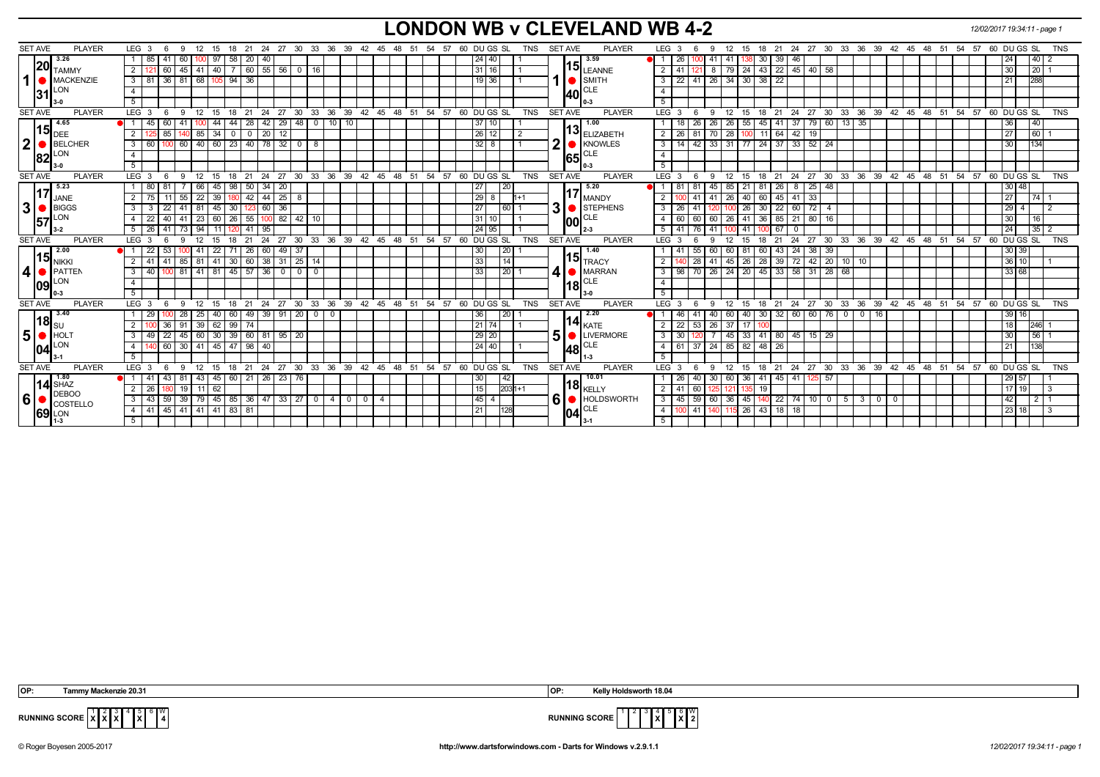## **LONDON WB v CLEVELAND WB 4-2** *12/02/2017 19:34:11 - page 1*

| <b>SET AVE</b><br><b>PLAYER</b>      | LEG 3                                                            | 24 27                                        | 30<br>33 36                                                                     |                              |                                |            |           | 60 DU GS SL                                    | TNS            | <b>PLAYER</b><br>SET AVE                  | LEG <sub>3</sub>                 |            |                      |                  | 21 24                                           |              |                                  |           |                   |  |       | 27 30 33 36 39 42 45 48 51 54 57 60 DUGS SL                         |          | <b>TNS</b>                                            |
|--------------------------------------|------------------------------------------------------------------|----------------------------------------------|---------------------------------------------------------------------------------|------------------------------|--------------------------------|------------|-----------|------------------------------------------------|----------------|-------------------------------------------|----------------------------------|------------|----------------------|------------------|-------------------------------------------------|--------------|----------------------------------|-----------|-------------------|--|-------|---------------------------------------------------------------------|----------|-------------------------------------------------------|
| 3.26                                 | 15<br>-6<br>12                                                   | 18<br>- 21                                   |                                                                                 |                              | 39  42  45  48  51             |            | 54 57     |                                                |                | 13.59                                     |                                  | 9          | 12                   | 15<br>18         |                                                 |              |                                  |           |                   |  |       |                                                                     |          |                                                       |
| $\bm{\mathsf{[20]}}_\text{TAMMY}$    | 97<br>85<br>41<br>60 I                                           | 58 20<br>40<br>$55 \ 56$                     |                                                                                 |                              |                                |            |           | $24$ 40                                        |                | $\bm{\mathsf{15}}_{\mathsf{LEANNE}}$      | 26 <sub>1</sub>                  | 41         | 41                   | 30               | 39<br>46                                        |              |                                  |           |                   |  |       | 24                                                                  |          | $40$   2                                              |
|                                      | $45 \mid 41$<br>40<br>2 <sup>1</sup><br>60                       | 60                                           | 16<br>$\overline{0}$                                                            |                              |                                |            |           | 31 16                                          |                |                                           | $\overline{2}$<br>41             | -8         | $79 \mid 24 \mid$    | 43               | $22$   45   40   58                             |              |                                  |           |                   |  |       | 30                                                                  |          | 20                                                    |
| MACKENZIE                            | 36 81 68<br>$3 \mid 81$<br>105.                                  | $94 \overline{36}$                           |                                                                                 |                              |                                |            |           | $19$ 36                                        |                | 1   SMITH                                 | 3<br>$22 \mid 41$                |            |                      | $26$ 34 30 38 22 |                                                 |              |                                  |           |                   |  |       | 21                                                                  |          | 288                                                   |
| _ON<br>131                           | $\overline{4}$                                                   |                                              |                                                                                 |                              |                                |            |           |                                                |                | CLE<br>140I                               | 4                                |            |                      |                  |                                                 |              |                                  |           |                   |  |       |                                                                     |          |                                                       |
| 3-0                                  | 5 <sup>1</sup>                                                   |                                              |                                                                                 |                              |                                |            |           |                                                |                | $0 - 3$                                   | 5                                |            |                      |                  |                                                 |              |                                  |           |                   |  |       |                                                                     |          |                                                       |
| <b>SET AVE</b><br><b>PLAYER</b>      | LEG <sub>3</sub><br>- 6<br>-9<br>12<br>- 15                      | 18<br>24<br>27<br>- 21                       | $30^{\circ}$                                                                    |                              | 33 36 39 42 45 48 51 54 57     |            |           | 60 DU GS SL                                    | <b>TNS</b>     | <b>SET AVE</b><br><b>PLAYER</b>           | $LEG \ 3$                        | 9          | 12                   | 15<br>-18        |                                                 |              |                                  |           |                   |  |       | 21 24 27 30 33 36 39 42 45 48 51 54 57 60 DUGS SL                   |          | <b>TNS</b>                                            |
| 4.65<br>115 $\vert$ <sub>DEE</sub>   | 60<br>45<br>-41<br>44                                            | 28<br>42<br>$\vert$ 29<br>-44                | $48$ 0                                                                          | 101<br>10                    |                                |            |           | $37$   10                                      |                | 1.00                                      | 18 I                             | 26<br>26   | 26                   | 55<br>45         | 41 37 79 60 13 35                               |              |                                  |           |                   |  |       | 36                                                                  |          | 40                                                    |
|                                      | 85<br>140 85 34 0<br>2 <sup>1</sup>                              | $20 \mid 12$<br>$\overline{0}$               |                                                                                 |                              |                                |            |           | $26$   12                                      | $\overline{2}$ | $ 13 $ ELIZABETH                          | $\sqrt{26}$ 81<br>$\overline{2}$ |            | 70   28              | 100              | 11 64 42 19                                     |              |                                  |           |                   |  |       | 27                                                                  |          | 60                                                    |
| $\mathbf{2}$<br>BELCHER              | 100 60 40 60 23 40 78 32 0<br>60<br>3 <sup>1</sup>               |                                              | -8                                                                              |                              |                                |            |           | $32$   8                                       |                | 2<br><b>KNOWLES</b>                       | $\overline{3}$                   |            |                      |                  | 14   42   33   31   77   24   37   33   52   24 |              |                                  |           |                   |  |       | 30                                                                  |          | 134                                                   |
| _ON<br> 82                           | $\overline{4}$                                                   |                                              |                                                                                 |                              |                                |            |           |                                                |                | <b>CLE</b><br>165I                        | $\overline{a}$                   |            |                      |                  |                                                 |              |                                  |           |                   |  |       |                                                                     |          |                                                       |
| 3-0                                  | 5                                                                |                                              |                                                                                 |                              |                                |            |           |                                                |                | $0 - 3$                                   | $\overline{5}$                   |            |                      |                  |                                                 |              |                                  |           |                   |  |       |                                                                     |          |                                                       |
| <b>SET AVE</b><br><b>PLAYER</b>      | $LEG_3^6$<br>12<br>15<br>- 9                                     | 24 27 30<br>18 21                            |                                                                                 |                              |                                |            |           | 33 36 39 42 45 48 51 54 57 60 DUGS SL          | <b>TNS</b>     | <b>PLAYER</b><br><b>SET AVE</b>           | LEG 3                            | - 6<br>- 9 | $12$ 15              | 18               |                                                 |              |                                  |           |                   |  |       |                                                                     |          | 21 24 27 30 33 36 39 42 45 48 51 54 57 60 DUGS SL TNS |
| 5.23<br><u>1171</u>                  | $ 80\rangle$<br>45<br>-81<br>66                                  | 98  <br>50<br>34<br>$\vert$ 20               |                                                                                 |                              |                                |            |           | 20<br>27                                       |                | 5.20                                      | 81                               | 45         | 85                   | 21<br>81         | 8<br>- 26                                       | $25 \mid 48$ |                                  |           |                   |  |       |                                                                     | 30 48    |                                                       |
| JANE                                 | $\overline{22}$<br>39<br>55<br>2   75<br>11                      | $44$   25  <br>42                            | 8                                                                               |                              |                                |            |           | $29$ 8                                         | $1 + 1$        | $117$ <sub>MANDY</sub>                    | $\overline{2}$                   | 41         | 26                   | 40<br>60         | $45 \mid 41$                                    | 33           |                                  |           |                   |  |       | 27                                                                  |          | 74 1                                                  |
| $\mathbf{3}$<br>BIGGS                | $\overline{22}$<br>45<br>3 <sup>1</sup><br>$\mathbf{3}$<br>41 81 | $\sqrt{30}$<br>60                            | 36                                                                              |                              |                                |            |           | $\overline{27}$<br>60                          |                | 3 <b>STEPHENS</b>                         | 3<br>26 I                        | -41        |                      | 30<br>26         | 22   60   72   4                                |              |                                  |           |                   |  |       | 29                                                                  | 4        | $\frac{1}{2}$                                         |
| _ON<br> 57                           | $4 \mid 22$<br>40<br>$\vert 41 \vert 23 \vert$<br>60             | $26 \mid 55$<br>100                          | 82 42 10                                                                        |                              |                                |            |           | 31 10                                          |                | CLE<br>lool                               | 60<br>$\overline{4}$             | 60<br>60   | $26 \mid 41$         | 36               | $85$   21                                       | 80 16        |                                  |           |                   |  |       | 30                                                                  |          | 16                                                    |
|                                      | $5 \mid 26$<br>41<br>94<br>73 I<br>11                            | 95<br>-41                                    |                                                                                 |                              |                                |            |           | 24 95                                          |                | l 2-3                                     | $\overline{5}$<br>$41$ 76        | 41         | 1001 41              |                  | 67<br>$\Omega$                                  |              |                                  |           |                   |  |       | 24                                                                  |          | $35$   2                                              |
| <b>PLAYER</b><br><b>SET AVE</b>      | LEG <sup>3</sup><br>12<br>$\mathbf{Q}$<br>15<br>- 6              | 24<br>27<br>18<br>-21                        | $30^{\circ}$                                                                    |                              | 33 36 39 42 45 48 51 54 57     |            |           | 60 DU GS SL                                    | <b>TNS</b>     | <b>SET AVE</b><br><b>PLAYER</b>           | LEG <sup>®</sup><br>- 3          | 9<br>-6    | 12                   | 18<br>15         | $^{\circ}$ 24<br>21                             |              | 27 30 33 36 39 42 45 48 51 54 57 |           |                   |  |       | 60 DU GS SL                                                         |          | <b>TNS</b>                                            |
| 2.00                                 | 22<br>53<br>22<br>$00 \t 41$                                     | 60<br>$\sqrt{26}$                            | 49 <br>-37                                                                      |                              |                                |            |           | 20<br>30                                       |                | 1.40                                      | 41                               | 55<br>60   | 60 81                | 60               | $\overline{24}$<br>43                           | 38 39        |                                  |           |                   |  |       |                                                                     | 30 39    |                                                       |
| $115$ $_{\rm NIKKI}$                 | $-41$<br> 41<br>85 81<br>2   41                                  | 30   60   38   31   25   14                  |                                                                                 |                              |                                |            |           | 33<br>14                                       |                | $\bm{\mathsf{115}}\vert_{\texttt{TRACY}}$ | $\overline{2}$                   | 41<br>28   |                      |                  | 45   26   28   39   72   42   20   10   10      |              |                                  |           |                   |  |       |                                                                     | 36 10    |                                                       |
| 4<br>$\blacksquare$ PATTEN           | 81 41 81 45 57 36<br>$3 \mid 40$<br>100                          |                                              | $\overline{\phantom{0}}$<br>$\overline{\phantom{0}}$<br>$\overline{\mathbf{0}}$ |                              |                                |            |           | 33<br>20                                       |                | 4<br><b>MARRAN</b>                        | 3                                |            |                      |                  | 98 70 26 24 20 45 33 58 31 28                   |              | 68                               |           |                   |  |       |                                                                     | 33 68    |                                                       |
| $\log$                               | $\overline{4}$                                                   |                                              |                                                                                 |                              |                                |            |           |                                                |                | <b>CLE</b>                                | $\overline{4}$                   |            |                      |                  |                                                 |              |                                  |           |                   |  |       |                                                                     |          |                                                       |
| $0-3$                                | 5 <sup>1</sup>                                                   |                                              |                                                                                 |                              |                                |            |           |                                                |                | $118$ <sub>3-0</sub>                      | 5                                |            |                      |                  |                                                 |              |                                  |           |                   |  |       |                                                                     |          |                                                       |
| <b>SET AVE</b><br><b>PLAYER</b>      | LEG <sup>3</sup><br>$12 \quad 15$<br>6<br>- 9                    | $18$ 21                                      |                                                                                 |                              |                                |            |           | 24 27 30 33 36 39 42 45 48 51 54 57 60 DUGS SL | TNS            | <b>SET AVE</b><br><b>PLAYER</b>           | LEG <sup>3</sup>                 | - 6<br>- 9 | $12 \quad 15$        |                  |                                                 |              |                                  |           |                   |  |       | 18  21  24  27  30  33  36  39  42  45  48  51  54  57  60  DUGS SL |          | <b>TNS</b>                                            |
| 3.40                                 | 29<br>28 25<br>40                                                | $\overline{60}$<br>49                        | 39 91 20<br>$\mathbf{0}$                                                        | $\mathbf 0$                  |                                |            |           | 36<br>20                                       |                | 2.20                                      | 46 I                             | 40<br>-41  | 60 40                |                  | 30 32 60 60 76                                  |              | 0 <sup>1</sup><br>$\mathbf 0$    | 16        |                   |  |       | 39                                                                  |          |                                                       |
| $ 18 $ su                            | 39<br>2 <sup>1</sup><br>36<br>91                                 | $62$   99   74                               |                                                                                 |                              |                                |            |           | 21 74                                          |                | 114  <sub>кате</sub>                      | 2<br>22 <sub>1</sub>             | 53<br>26   | $37$ 17              |                  |                                                 |              |                                  |           |                   |  |       | 18                                                                  |          | 246                                                   |
| 5 <sup>1</sup><br>$\blacksquare$ HOL | $\overline{22}$<br>45 60<br>- 3 I<br>49                          | $30 \mid 39 \mid 60 \mid 81 \mid 95 \mid 20$ |                                                                                 |                              |                                |            |           | 29 20                                          |                | 51<br><b>ILIVERMORE</b>                   | 30 <sup>1</sup><br>3             |            |                      |                  | 45   33   41   80   45   15   29                |              |                                  |           |                   |  |       | 30                                                                  |          | $56$   1                                              |
| _ON                                  | 60<br>$30 \mid 41$<br>4                                          | 45 47 98<br>40                               |                                                                                 |                              |                                |            |           | 24 40                                          |                | CLE<br> 48                                | 61137<br>$\overline{4}$          |            | $24 \mid 85 \mid 82$ | 48               | 26                                              |              |                                  |           |                   |  |       | 21                                                                  |          | 138                                                   |
|                                      | 5 <sup>1</sup>                                                   |                                              |                                                                                 |                              |                                |            |           |                                                |                | $1-3$                                     | 5                                |            |                      |                  |                                                 |              |                                  |           |                   |  |       |                                                                     |          |                                                       |
| SET AVE<br><b>PLAYER</b>             | LEG <sub>3</sub><br>9<br>12<br>15                                | 18<br>24<br>27<br>- 21                       | 33<br>$30^{\circ}$                                                              | 36                           | $39 \t 42 \t 45$               | $48 \t 51$ | 54<br>-57 | 60 DU GS SL                                    | <b>TNS</b>     | <b>SET AVE</b><br><b>PLAYER</b>           | $LEG \ 3$                        |            |                      | 18<br>15         | 21<br>24                                        | 27           | 30 33                            |           | 36 39 42 45 48 51 |  | 54 57 | 60 DU GS SL                                                         |          | <b>TNS</b>                                            |
| 1.80                                 | 43<br>45<br>43<br>-81<br>l 41                                    | $160$   21<br>26<br> 23                      | 76                                                                              |                              |                                |            |           | 42<br>30                                       |                | 10.01                                     | <b>26</b>                        | 40<br>30   | 60                   | 36<br>41         | $45$   41                                       | 57           |                                  |           |                   |  |       |                                                                     | 29 57    |                                                       |
| <b>14</b> SHAZ                       | $2 \mid 26$<br>62<br>19 <sup>1</sup><br>11                       |                                              |                                                                                 |                              |                                |            |           | 15<br>$2031 + 1$                               |                | 118 $\vert_{\sf KELLY}$                   | $\overline{2}$<br>41             | 60         |                      | 19               |                                                 |              |                                  |           |                   |  |       |                                                                     | 17<br>19 |                                                       |
| DEBOO<br>6<br>COSTELLO               | 59<br>  39   79   45   85   36   47   33   27  <br>43<br>- 3 I   |                                              | $\mathbf 0$                                                                     | $\sqrt{4}$<br>$\overline{0}$ | $\mathbf{0}$<br>$\overline{4}$ |            |           | $45$   4                                       |                | 6 <b>O</b> HOLDSWORTH                     | $45 \mid 59$<br>3                | 60         | $36 \mid 45$         |                  | $22$   74                                       | $10$ 0       | 5 <sup>1</sup><br>$\mathbf{3}$   | $\circ$ 1 | $\mathbf{0}$      |  |       | 42                                                                  |          | 211                                                   |
| <b>69 LON</b>                        | 45 <br>  41   41   41   83   81<br>$4 \mid 41 \mid$              |                                              |                                                                                 |                              |                                |            |           | 21<br>128                                      |                | CLE<br> 04                                | $\overline{4}$<br>$100$ 41       | 140        | $115$ 26             | 43               |                                                 |              |                                  |           |                   |  |       | 23                                                                  | 18 I     | <b>13</b>                                             |
|                                      | 5 <sub>1</sub>                                                   |                                              |                                                                                 |                              |                                |            |           |                                                |                |                                           | $\overline{5}$                   |            |                      |                  |                                                 |              |                                  |           |                   |  |       |                                                                     |          |                                                       |
|                                      |                                                                  |                                              |                                                                                 |                              |                                |            |           |                                                |                |                                           |                                  |            |                      |                  |                                                 |              |                                  |           |                   |  |       |                                                                     |          |                                                       |

4 5 **X** 6 W



**RUNNING SCORE**  $\begin{bmatrix} 1 & 2 & 3 \\ X & X & X \end{bmatrix}$